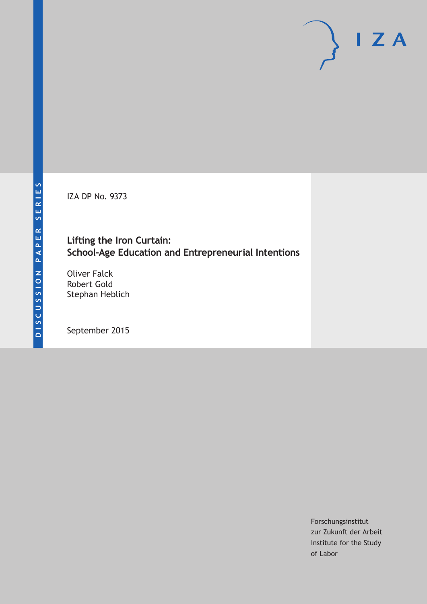IZA DP No. 9373

# **Lifting the Iron Curtain: School-Age Education and Entrepreneurial Intentions**

Oliver Falck Robert Gold Stephan Heblich

September 2015

Forschungsinstitut zur Zukunft der Arbeit Institute for the Study of Labor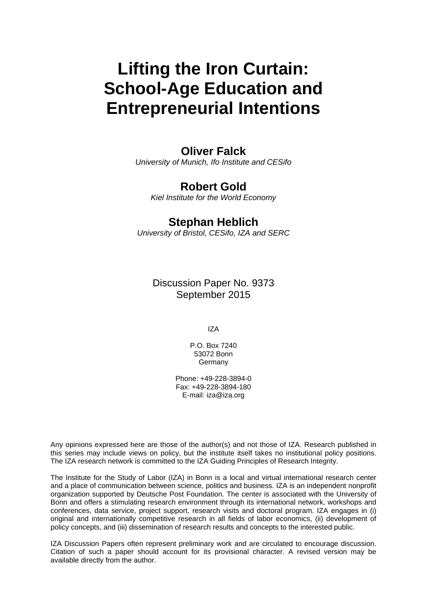# **Lifting the Iron Curtain: School-Age Education and Entrepreneurial Intentions**

# **Oliver Falck**

*University of Munich, Ifo Institute and CESifo* 

# **Robert Gold**

*Kiel Institute for the World Economy* 

# **Stephan Heblich**

*University of Bristol, CESifo, IZA and SERC*

Discussion Paper No. 9373 September 2015

IZA

P.O. Box 7240 53072 Bonn Germany

Phone: +49-228-3894-0 Fax: +49-228-3894-180 E-mail: iza@iza.org

Any opinions expressed here are those of the author(s) and not those of IZA. Research published in this series may include views on policy, but the institute itself takes no institutional policy positions. The IZA research network is committed to the IZA Guiding Principles of Research Integrity.

The Institute for the Study of Labor (IZA) in Bonn is a local and virtual international research center and a place of communication between science, politics and business. IZA is an independent nonprofit organization supported by Deutsche Post Foundation. The center is associated with the University of Bonn and offers a stimulating research environment through its international network, workshops and conferences, data service, project support, research visits and doctoral program. IZA engages in (i) original and internationally competitive research in all fields of labor economics, (ii) development of policy concepts, and (iii) dissemination of research results and concepts to the interested public.

IZA Discussion Papers often represent preliminary work and are circulated to encourage discussion. Citation of such a paper should account for its provisional character. A revised version may be available directly from the author.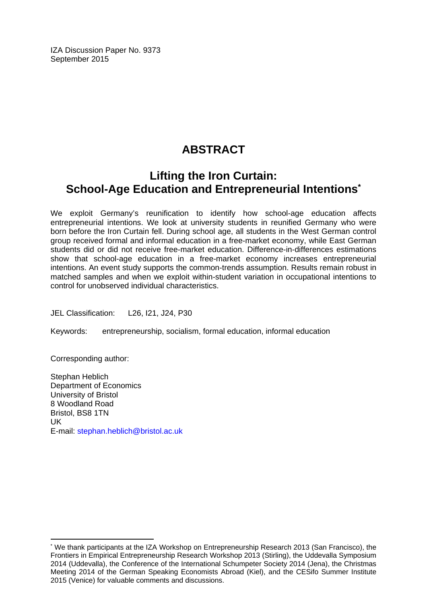IZA Discussion Paper No. 9373 September 2015

# **ABSTRACT**

# **Lifting the Iron Curtain: School-Age Education and Entrepreneurial Intentions\***

We exploit Germany's reunification to identify how school-age education affects entrepreneurial intentions. We look at university students in reunified Germany who were born before the Iron Curtain fell. During school age, all students in the West German control group received formal and informal education in a free-market economy, while East German students did or did not receive free-market education. Difference-in-differences estimations show that school-age education in a free-market economy increases entrepreneurial intentions. An event study supports the common-trends assumption. Results remain robust in matched samples and when we exploit within-student variation in occupational intentions to control for unobserved individual characteristics.

JEL Classification: L26, I21, J24, P30

Keywords: entrepreneurship, socialism, formal education, informal education

Corresponding author:

 $\overline{a}$ 

Stephan Heblich Department of Economics University of Bristol 8 Woodland Road Bristol, BS8 1TN UK E-mail: stephan.heblich@bristol.ac.uk

<sup>\*</sup> We thank participants at the IZA Workshop on Entrepreneurship Research 2013 (San Francisco), the Frontiers in Empirical Entrepreneurship Research Workshop 2013 (Stirling), the Uddevalla Symposium 2014 (Uddevalla), the Conference of the International Schumpeter Society 2014 (Jena), the Christmas Meeting 2014 of the German Speaking Economists Abroad (Kiel), and the CESifo Summer Institute 2015 (Venice) for valuable comments and discussions.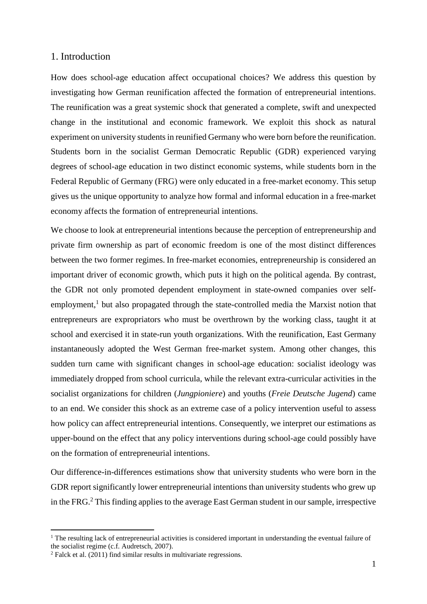### 1. Introduction

How does school-age education affect occupational choices? We address this question by investigating how German reunification affected the formation of entrepreneurial intentions. The reunification was a great systemic shock that generated a complete, swift and unexpected change in the institutional and economic framework. We exploit this shock as natural experiment on university students in reunified Germany who were born before the reunification. Students born in the socialist German Democratic Republic (GDR) experienced varying degrees of school-age education in two distinct economic systems, while students born in the Federal Republic of Germany (FRG) were only educated in a free-market economy. This setup gives us the unique opportunity to analyze how formal and informal education in a free-market economy affects the formation of entrepreneurial intentions.

We choose to look at entrepreneurial intentions because the perception of entrepreneurship and private firm ownership as part of economic freedom is one of the most distinct differences between the two former regimes. In free-market economies, entrepreneurship is considered an important driver of economic growth, which puts it high on the political agenda. By contrast, the GDR not only promoted dependent employment in state-owned companies over selfemployment,<sup>1</sup> but also propagated through the state-controlled media the Marxist notion that entrepreneurs are expropriators who must be overthrown by the working class, taught it at school and exercised it in state-run youth organizations. With the reunification, East Germany instantaneously adopted the West German free-market system. Among other changes, this sudden turn came with significant changes in school-age education: socialist ideology was immediately dropped from school curricula, while the relevant extra-curricular activities in the socialist organizations for children (*Jungpioniere*) and youths (*Freie Deutsche Jugend*) came to an end. We consider this shock as an extreme case of a policy intervention useful to assess how policy can affect entrepreneurial intentions. Consequently, we interpret our estimations as upper-bound on the effect that any policy interventions during school-age could possibly have on the formation of entrepreneurial intentions.

Our difference-in-differences estimations show that university students who were born in the GDR report significantly lower entrepreneurial intentions than university students who grew up in the FRG.<sup>2</sup> This finding applies to the average East German student in our sample, irrespective

<u>.</u>

 $1$  The resulting lack of entrepreneurial activities is considered important in understanding the eventual failure of the socialist regime (c.f. Audretsch, 2007).

 $2$  Falck et al. (2011) find similar results in multivariate regressions.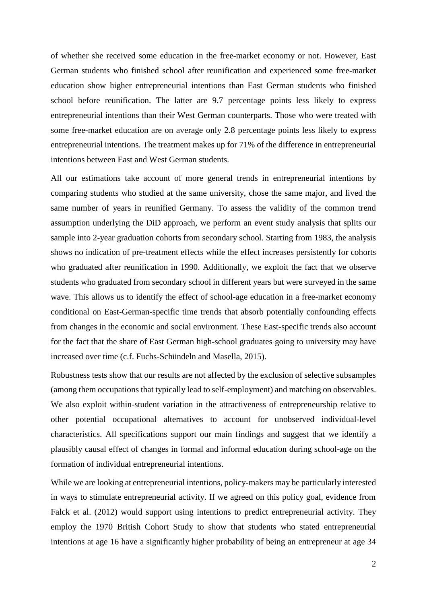of whether she received some education in the free-market economy or not. However, East German students who finished school after reunification and experienced some free-market education show higher entrepreneurial intentions than East German students who finished school before reunification. The latter are 9.7 percentage points less likely to express entrepreneurial intentions than their West German counterparts. Those who were treated with some free-market education are on average only 2.8 percentage points less likely to express entrepreneurial intentions. The treatment makes up for 71% of the difference in entrepreneurial intentions between East and West German students.

All our estimations take account of more general trends in entrepreneurial intentions by comparing students who studied at the same university, chose the same major, and lived the same number of years in reunified Germany. To assess the validity of the common trend assumption underlying the DiD approach, we perform an event study analysis that splits our sample into 2-year graduation cohorts from secondary school. Starting from 1983, the analysis shows no indication of pre-treatment effects while the effect increases persistently for cohorts who graduated after reunification in 1990. Additionally, we exploit the fact that we observe students who graduated from secondary school in different years but were surveyed in the same wave. This allows us to identify the effect of school-age education in a free-market economy conditional on East-German-specific time trends that absorb potentially confounding effects from changes in the economic and social environment. These East-specific trends also account for the fact that the share of East German high-school graduates going to university may have increased over time (c.f. Fuchs-Schündeln and Masella, 2015).

Robustness tests show that our results are not affected by the exclusion of selective subsamples (among them occupations that typically lead to self-employment) and matching on observables. We also exploit within-student variation in the attractiveness of entrepreneurship relative to other potential occupational alternatives to account for unobserved individual-level characteristics. All specifications support our main findings and suggest that we identify a plausibly causal effect of changes in formal and informal education during school-age on the formation of individual entrepreneurial intentions.

While we are looking at entrepreneurial intentions, policy-makers may be particularly interested in ways to stimulate entrepreneurial activity. If we agreed on this policy goal, evidence from Falck et al. (2012) would support using intentions to predict entrepreneurial activity. They employ the 1970 British Cohort Study to show that students who stated entrepreneurial intentions at age 16 have a significantly higher probability of being an entrepreneur at age 34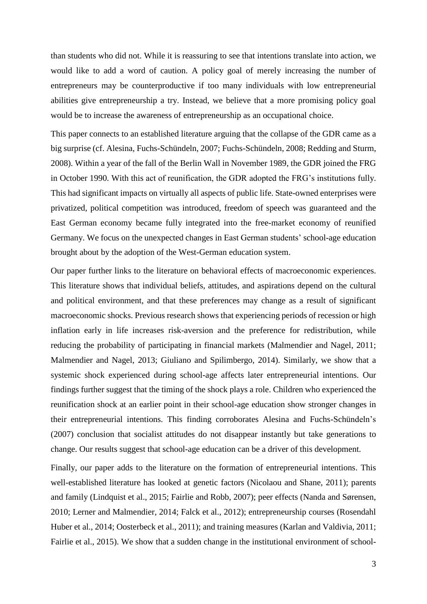than students who did not. While it is reassuring to see that intentions translate into action, we would like to add a word of caution. A policy goal of merely increasing the number of entrepreneurs may be counterproductive if too many individuals with low entrepreneurial abilities give entrepreneurship a try. Instead, we believe that a more promising policy goal would be to increase the awareness of entrepreneurship as an occupational choice.

This paper connects to an established literature arguing that the collapse of the GDR came as a big surprise (cf. Alesina, Fuchs-Schündeln, 2007; Fuchs-Schündeln, 2008; Redding and Sturm, 2008). Within a year of the fall of the Berlin Wall in November 1989, the GDR joined the FRG in October 1990. With this act of reunification, the GDR adopted the FRG's institutions fully. This had significant impacts on virtually all aspects of public life. State-owned enterprises were privatized, political competition was introduced, freedom of speech was guaranteed and the East German economy became fully integrated into the free-market economy of reunified Germany. We focus on the unexpected changes in East German students' school-age education brought about by the adoption of the West-German education system.

Our paper further links to the literature on behavioral effects of macroeconomic experiences. This literature shows that individual beliefs, attitudes, and aspirations depend on the cultural and political environment, and that these preferences may change as a result of significant macroeconomic shocks. Previous research shows that experiencing periods of recession or high inflation early in life increases risk-aversion and the preference for redistribution, while reducing the probability of participating in financial markets (Malmendier and Nagel, 2011; Malmendier and Nagel, 2013; Giuliano and Spilimbergo, 2014). Similarly, we show that a systemic shock experienced during school-age affects later entrepreneurial intentions. Our findings further suggest that the timing of the shock plays a role. Children who experienced the reunification shock at an earlier point in their school-age education show stronger changes in their entrepreneurial intentions. This finding corroborates Alesina and Fuchs-Schündeln's (2007) conclusion that socialist attitudes do not disappear instantly but take generations to change. Our results suggest that school-age education can be a driver of this development.

Finally, our paper adds to the literature on the formation of entrepreneurial intentions. This well-established literature has looked at genetic factors (Nicolaou and Shane, 2011); parents and family (Lindquist et al., 2015; Fairlie and Robb, 2007); peer effects (Nanda and Sørensen, 2010; Lerner and Malmendier, 2014; Falck et al., 2012); entrepreneurship courses (Rosendahl Huber et al., 2014; Oosterbeck et al., 2011); and training measures (Karlan and Valdivia, 2011; Fairlie et al., 2015). We show that a sudden change in the institutional environment of school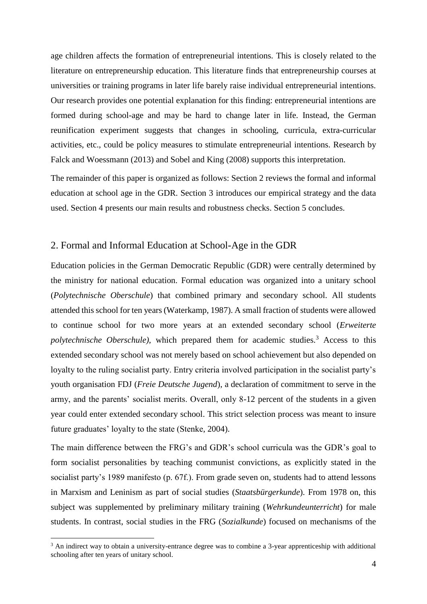age children affects the formation of entrepreneurial intentions. This is closely related to the literature on entrepreneurship education. This literature finds that entrepreneurship courses at universities or training programs in later life barely raise individual entrepreneurial intentions. Our research provides one potential explanation for this finding: entrepreneurial intentions are formed during school-age and may be hard to change later in life. Instead, the German reunification experiment suggests that changes in schooling, curricula, extra-curricular activities, etc., could be policy measures to stimulate entrepreneurial intentions. Research by Falck and Woessmann (2013) and Sobel and King (2008) supports this interpretation.

The remainder of this paper is organized as follows: Section 2 reviews the formal and informal education at school age in the GDR. Section 3 introduces our empirical strategy and the data used. Section 4 presents our main results and robustness checks. Section 5 concludes.

## 2. Formal and Informal Education at School-Age in the GDR

Education policies in the German Democratic Republic (GDR) were centrally determined by the ministry for national education. Formal education was organized into a unitary school (*Polytechnische Oberschule*) that combined primary and secondary school. All students attended this school for ten years (Waterkamp, 1987). A small fraction of students were allowed to continue school for two more years at an extended secondary school (*Erweiterte polytechnische Oberschule)*, which prepared them for academic studies.<sup>3</sup> Access to this extended secondary school was not merely based on school achievement but also depended on loyalty to the ruling socialist party. Entry criteria involved participation in the socialist party's youth organisation FDJ (*Freie Deutsche Jugend*), a declaration of commitment to serve in the army, and the parents' socialist merits. Overall, only 8-12 percent of the students in a given year could enter extended secondary school. This strict selection process was meant to insure future graduates' loyalty to the state (Stenke, 2004).

The main difference between the FRG's and GDR's school curricula was the GDR's goal to form socialist personalities by teaching communist convictions, as explicitly stated in the socialist party's 1989 manifesto (p. 67f.). From grade seven on, students had to attend lessons in Marxism and Leninism as part of social studies (*Staatsbürgerkunde*). From 1978 on, this subject was supplemented by preliminary military training (*Wehrkundeunterricht*) for male students. In contrast, social studies in the FRG (*Sozialkunde*) focused on mechanisms of the

1

<sup>&</sup>lt;sup>3</sup> An indirect way to obtain a university-entrance degree was to combine a 3-year apprenticeship with additional schooling after ten years of unitary school.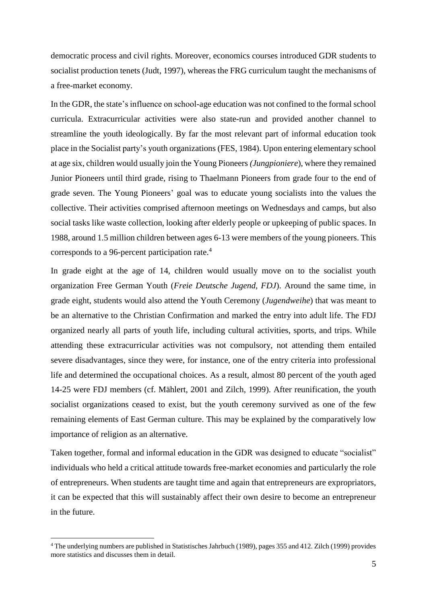democratic process and civil rights. Moreover, economics courses introduced GDR students to socialist production tenets (Judt, 1997), whereas the FRG curriculum taught the mechanisms of a free-market economy.

In the GDR, the state's influence on school-age education was not confined to the formal school curricula. Extracurricular activities were also state-run and provided another channel to streamline the youth ideologically. By far the most relevant part of informal education took place in the Socialist party's youth organizations (FES, 1984). Upon entering elementary school at age six, children would usually join the Young Pioneers *(Jungpioniere*), where they remained Junior Pioneers until third grade, rising to Thaelmann Pioneers from grade four to the end of grade seven. The Young Pioneers' goal was to educate young socialists into the values the collective. Their activities comprised afternoon meetings on Wednesdays and camps, but also social tasks like waste collection, looking after elderly people or upkeeping of public spaces. In 1988, around 1.5 million children between ages 6-13 were members of the young pioneers. This corresponds to a 96-percent participation rate. 4

In grade eight at the age of 14, children would usually move on to the socialist youth organization Free German Youth (*Freie Deutsche Jugend, FDJ*). Around the same time, in grade eight, students would also attend the Youth Ceremony (*Jugendweihe*) that was meant to be an alternative to the Christian Confirmation and marked the entry into adult life. The FDJ organized nearly all parts of youth life, including cultural activities, sports, and trips. While attending these extracurricular activities was not compulsory, not attending them entailed severe disadvantages, since they were, for instance, one of the entry criteria into professional life and determined the occupational choices. As a result, almost 80 percent of the youth aged 14-25 were FDJ members (cf. Mählert, 2001 and Zilch, 1999). After reunification, the youth socialist organizations ceased to exist, but the youth ceremony survived as one of the few remaining elements of East German culture. This may be explained by the comparatively low importance of religion as an alternative.

Taken together, formal and informal education in the GDR was designed to educate "socialist" individuals who held a critical attitude towards free-market economies and particularly the role of entrepreneurs. When students are taught time and again that entrepreneurs are expropriators, it can be expected that this will sustainably affect their own desire to become an entrepreneur in the future.

1

<sup>4</sup> The underlying numbers are published in Statistisches Jahrbuch (1989), pages 355 and 412. Zilch (1999) provides more statistics and discusses them in detail.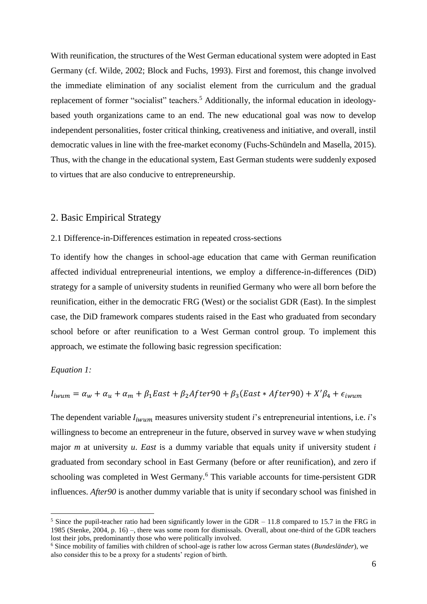With reunification, the structures of the West German educational system were adopted in East Germany (cf. Wilde, 2002; Block and Fuchs, 1993). First and foremost, this change involved the immediate elimination of any socialist element from the curriculum and the gradual replacement of former "socialist" teachers.<sup>5</sup> Additionally, the informal education in ideologybased youth organizations came to an end. The new educational goal was now to develop independent personalities, foster critical thinking, creativeness and initiative, and overall, instil democratic values in line with the free-market economy (Fuchs-Schündeln and Masella, 2015). Thus, with the change in the educational system, East German students were suddenly exposed to virtues that are also conducive to entrepreneurship.

#### 2. Basic Empirical Strategy

#### 2.1 Difference-in-Differences estimation in repeated cross-sections

To identify how the changes in school-age education that came with German reunification affected individual entrepreneurial intentions, we employ a difference-in-differences (DiD) strategy for a sample of university students in reunified Germany who were all born before the reunification, either in the democratic FRG (West) or the socialist GDR (East). In the simplest case, the DiD framework compares students raised in the East who graduated from secondary school before or after reunification to a West German control group. To implement this approach, we estimate the following basic regression specification:

#### *Equation 1:*

<u>.</u>

$$
I_{i wum} = \alpha_w + \alpha_u + \alpha_m + \beta_1 East + \beta_2 After 90 + \beta_3 (East * After 90) + X'\beta_4 + \epsilon_{i wum}
$$

The dependent variable  $I_{i w u m}$  measures university student *i*'s entrepreneurial intentions, i.e. *i*'s willingness to become an entrepreneur in the future, observed in survey wave *w* when studying major *m* at university *u*. *East* is a dummy variable that equals unity if university student *i* graduated from secondary school in East Germany (before or after reunification), and zero if schooling was completed in West Germany.<sup>6</sup> This variable accounts for time-persistent GDR influences. *After90* is another dummy variable that is unity if secondary school was finished in

<sup>&</sup>lt;sup>5</sup> Since the pupil-teacher ratio had been significantly lower in the GDR  $-11.8$  compared to 15.7 in the FRG in 1985 (Stenke, 2004, p. 16) –, there was some room for dismissals. Overall, about one-third of the GDR teachers lost their jobs, predominantly those who were politically involved.

<sup>6</sup> Since mobility of families with children of school-age is rather low across German states (*Bundesländer*), we also consider this to be a proxy for a students' region of birth.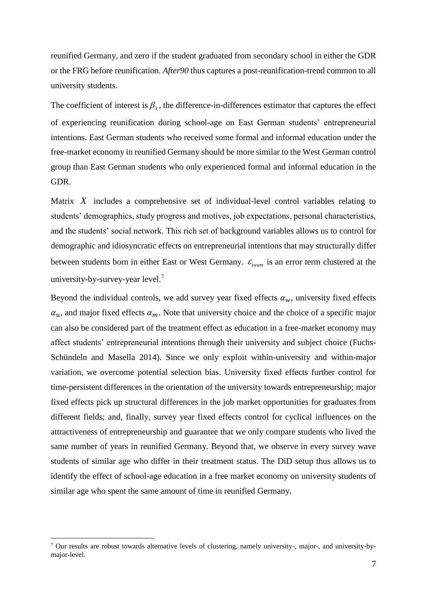reunified Germany, and zero if the student graduated from secondary school in either the GDR or the FRG before reunification. *After90* thus captures a post-reunification-trend common to all university students.

The coefficient of interest is  $\beta_3$ , the difference-in-differences estimator that captures the effect of experiencing reunification during school-age on East German students' entrepreneurial intentions. East German students who received some formal and informal education under the free-market economy in reunified Germany should be more similar to the West German control group than East German students who only experienced formal and informal education in the GDR.

Matrix X includes a comprehensive set of individual-level control variables relating to students' demographics, study progress and motives, job expectations, personal characteristics, and the students' social network. This rich set of background variables allows us to control for demographic and idiosyncratic effects on entrepreneurial intentions that may structurally differ between students born in either East or West Germany.  $\varepsilon_{i_{\text{wum}}}$  is an error term clustered at the university-by-survey-year level.<sup>7</sup>

Beyond the individual controls, we add survey year fixed effects  $\alpha_w$ , university fixed effects  $\alpha_u$ , and major fixed effects  $\alpha_m$ . Note that university choice and the choice of a specific major can also be considered part of the treatment effect as education in a free-market economy may affect students' entrepreneurial intentions through their university and subject choice (Fuchs-Schündeln and Masella 2014). Since we only exploit within-university and within-major variation, we overcome potential selection bias. University fixed effects further control for time-persistent differences in the orientation of the university towards entrepreneurship; major fixed effects pick up structural differences in the job market opportunities for graduates from different fields; and, finally, survey year fixed effects control for cyclical influences on the attractiveness of entrepreneurship and guarantee that we only compare students who lived the same number of years in reunified Germany. Beyond that, we observe in every survey wave students of similar age who differ in their treatment status. The DiD setup thus allows us to identify the effect of school-age education in a free market economy on university students of similar age who spent the same amount of time in reunified Germany.

1

<sup>&</sup>lt;sup>7</sup> Our results are robust towards alternative levels of clustering, namely university-, major-, and university-bymajor-level.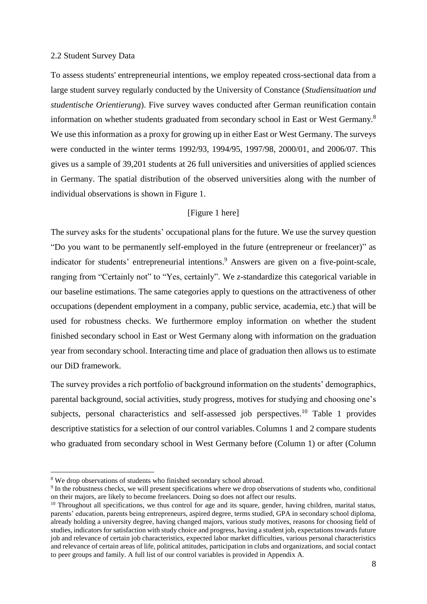#### 2.2 Student Survey Data

To assess students' entrepreneurial intentions, we employ repeated cross-sectional data from a large student survey regularly conducted by the University of Constance (*Studiensituation und studentische Orientierung*). Five survey waves conducted after German reunification contain information on whether students graduated from secondary school in East or West Germany.<sup>8</sup> We use this information as a proxy for growing up in either East or West Germany. The surveys were conducted in the winter terms 1992/93, 1994/95, 1997/98, 2000/01, and 2006/07. This gives us a sample of 39,201 students at 26 full universities and universities of applied sciences in Germany. The spatial distribution of the observed universities along with the number of individual observations is shown in Figure 1.

#### [Figure 1 here]

The survey asks for the students' occupational plans for the future. We use the survey question "Do you want to be permanently self-employed in the future (entrepreneur or freelancer)" as indicator for students' entrepreneurial intentions. <sup>9</sup> Answers are given on a five-point-scale, ranging from "Certainly not" to "Yes, certainly". We *z*-standardize this categorical variable in our baseline estimations. The same categories apply to questions on the attractiveness of other occupations (dependent employment in a company, public service, academia, etc.) that will be used for robustness checks. We furthermore employ information on whether the student finished secondary school in East or West Germany along with information on the graduation year from secondary school. Interacting time and place of graduation then allows us to estimate our DiD framework.

The survey provides a rich portfolio of background information on the students' demographics, parental background, social activities, study progress, motives for studying and choosing one's subjects, personal characteristics and self-assessed job perspectives.<sup>10</sup> Table 1 provides descriptive statistics for a selection of our control variables. Columns 1 and 2 compare students who graduated from secondary school in West Germany before (Column 1) or after (Column

1

<sup>&</sup>lt;sup>8</sup> We drop observations of students who finished secondary school abroad.

<sup>&</sup>lt;sup>9</sup> In the robustness checks, we will present specifications where we drop observations of students who, conditional on their majors, are likely to become freelancers. Doing so does not affect our results.

<sup>&</sup>lt;sup>10</sup> Throughout all specifications, we thus control for age and its square, gender, having children, marital status, parents' education, parents being entrepreneurs, aspired degree, terms studied, GPA in secondary school diploma, already holding a university degree, having changed majors, various study motives, reasons for choosing field of studies, indicators for satisfaction with study choice and progress, having a student job, expectations towards future job and relevance of certain job characteristics, expected labor market difficulties, various personal characteristics and relevance of certain areas of life, political attitudes, participation in clubs and organizations, and social contact to peer groups and family. A full list of our control variables is provided in Appendix A.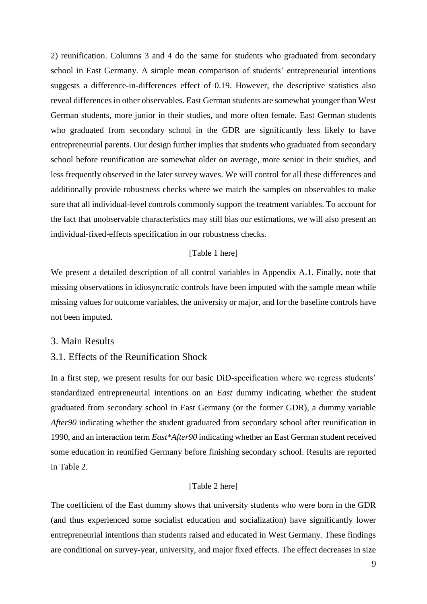2) reunification. Columns 3 and 4 do the same for students who graduated from secondary school in East Germany. A simple mean comparison of students' entrepreneurial intentions suggests a difference-in-differences effect of 0.19. However, the descriptive statistics also reveal differences in other observables. East German students are somewhat younger than West German students, more junior in their studies, and more often female. East German students who graduated from secondary school in the GDR are significantly less likely to have entrepreneurial parents. Our design further implies that students who graduated from secondary school before reunification are somewhat older on average, more senior in their studies, and less frequently observed in the later survey waves. We will control for all these differences and additionally provide robustness checks where we match the samples on observables to make sure that all individual-level controls commonly support the treatment variables. To account for the fact that unobservable characteristics may still bias our estimations, we will also present an individual-fixed-effects specification in our robustness checks.

#### [Table 1 here]

We present a detailed description of all control variables in Appendix A.1. Finally, note that missing observations in idiosyncratic controls have been imputed with the sample mean while missing values for outcome variables, the university or major, and for the baseline controls have not been imputed.

## 3. Main Results

## 3.1. Effects of the Reunification Shock

In a first step, we present results for our basic DiD-specification where we regress students' standardized entrepreneurial intentions on an *East* dummy indicating whether the student graduated from secondary school in East Germany (or the former GDR), a dummy variable *After90* indicating whether the student graduated from secondary school after reunification in 1990, and an interaction term *East\*After90* indicating whether an East German student received some education in reunified Germany before finishing secondary school. Results are reported in Table 2.

### [Table 2 here]

The coefficient of the East dummy shows that university students who were born in the GDR (and thus experienced some socialist education and socialization) have significantly lower entrepreneurial intentions than students raised and educated in West Germany. These findings are conditional on survey-year, university, and major fixed effects. The effect decreases in size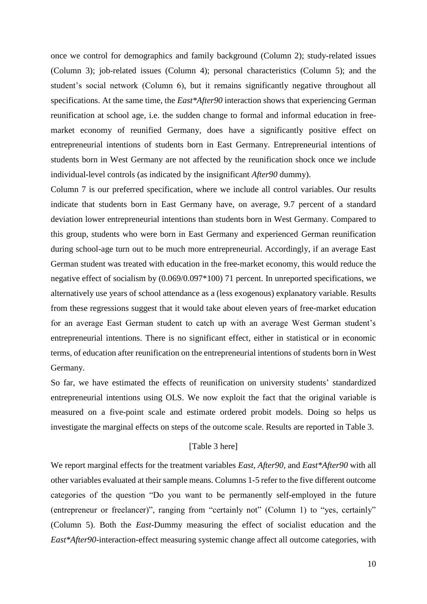once we control for demographics and family background (Column 2); study-related issues (Column 3); job-related issues (Column 4); personal characteristics (Column 5); and the student's social network (Column 6), but it remains significantly negative throughout all specifications. At the same time, the *East\*After90* interaction shows that experiencing German reunification at school age, i.e. the sudden change to formal and informal education in freemarket economy of reunified Germany, does have a significantly positive effect on entrepreneurial intentions of students born in East Germany. Entrepreneurial intentions of students born in West Germany are not affected by the reunification shock once we include individual-level controls (as indicated by the insignificant *After90* dummy).

Column 7 is our preferred specification, where we include all control variables. Our results indicate that students born in East Germany have, on average, 9.7 percent of a standard deviation lower entrepreneurial intentions than students born in West Germany. Compared to this group, students who were born in East Germany and experienced German reunification during school-age turn out to be much more entrepreneurial. Accordingly, if an average East German student was treated with education in the free-market economy, this would reduce the negative effect of socialism by (0.069/0.097\*100) 71 percent. In unreported specifications, we alternatively use years of school attendance as a (less exogenous) explanatory variable. Results from these regressions suggest that it would take about eleven years of free-market education for an average East German student to catch up with an average West German student's entrepreneurial intentions. There is no significant effect, either in statistical or in economic terms, of education after reunification on the entrepreneurial intentions of students born in West Germany.

So far, we have estimated the effects of reunification on university students' standardized entrepreneurial intentions using OLS. We now exploit the fact that the original variable is measured on a five-point scale and estimate ordered probit models. Doing so helps us investigate the marginal effects on steps of the outcome scale. Results are reported in Table 3.

### [Table 3 here]

We report marginal effects for the treatment variables *East*, *After90*, and *East\*After90* with all other variables evaluated at their sample means. Columns 1-5 refer to the five different outcome categories of the question "Do you want to be permanently self-employed in the future (entrepreneur or freelancer)", ranging from "certainly not" (Column 1) to "yes, certainly" (Column 5). Both the *East*-Dummy measuring the effect of socialist education and the *East\*After90*-interaction-effect measuring systemic change affect all outcome categories, with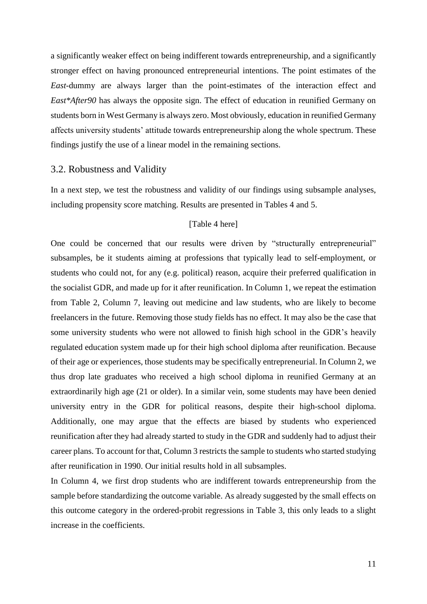a significantly weaker effect on being indifferent towards entrepreneurship, and a significantly stronger effect on having pronounced entrepreneurial intentions. The point estimates of the *East*-dummy are always larger than the point-estimates of the interaction effect and *East\*After90* has always the opposite sign. The effect of education in reunified Germany on students born in West Germany is always zero. Most obviously, education in reunified Germany affects university students' attitude towards entrepreneurship along the whole spectrum. These findings justify the use of a linear model in the remaining sections.

# 3.2. Robustness and Validity

In a next step, we test the robustness and validity of our findings using subsample analyses, including propensity score matching. Results are presented in Tables 4 and 5.

# [Table 4 here]

One could be concerned that our results were driven by "structurally entrepreneurial" subsamples, be it students aiming at professions that typically lead to self-employment, or students who could not, for any (e.g. political) reason, acquire their preferred qualification in the socialist GDR, and made up for it after reunification. In Column 1, we repeat the estimation from Table 2, Column 7, leaving out medicine and law students, who are likely to become freelancers in the future. Removing those study fields has no effect. It may also be the case that some university students who were not allowed to finish high school in the GDR's heavily regulated education system made up for their high school diploma after reunification. Because of their age or experiences, those students may be specifically entrepreneurial. In Column 2, we thus drop late graduates who received a high school diploma in reunified Germany at an extraordinarily high age (21 or older). In a similar vein, some students may have been denied university entry in the GDR for political reasons, despite their high-school diploma. Additionally, one may argue that the effects are biased by students who experienced reunification after they had already started to study in the GDR and suddenly had to adjust their career plans. To account for that, Column 3 restricts the sample to students who started studying after reunification in 1990. Our initial results hold in all subsamples.

In Column 4, we first drop students who are indifferent towards entrepreneurship from the sample before standardizing the outcome variable. As already suggested by the small effects on this outcome category in the ordered-probit regressions in Table 3, this only leads to a slight increase in the coefficients.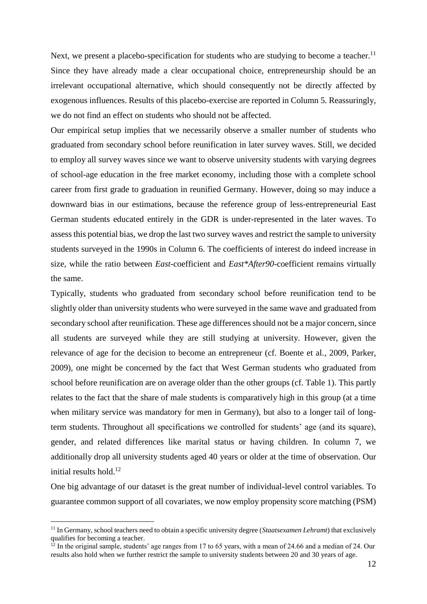Next, we present a placebo-specification for students who are studying to become a teacher.<sup>11</sup> Since they have already made a clear occupational choice, entrepreneurship should be an irrelevant occupational alternative, which should consequently not be directly affected by exogenous influences. Results of this placebo-exercise are reported in Column 5. Reassuringly, we do not find an effect on students who should not be affected.

Our empirical setup implies that we necessarily observe a smaller number of students who graduated from secondary school before reunification in later survey waves. Still, we decided to employ all survey waves since we want to observe university students with varying degrees of school-age education in the free market economy, including those with a complete school career from first grade to graduation in reunified Germany. However, doing so may induce a downward bias in our estimations, because the reference group of less-entrepreneurial East German students educated entirely in the GDR is under-represented in the later waves. To assess this potential bias, we drop the last two survey waves and restrict the sample to university students surveyed in the 1990s in Column 6. The coefficients of interest do indeed increase in size, while the ratio between *East*-coefficient and *East\*After90*-coefficient remains virtually the same.

Typically, students who graduated from secondary school before reunification tend to be slightly older than university students who were surveyed in the same wave and graduated from secondary school after reunification. These age differences should not be a major concern, since all students are surveyed while they are still studying at university. However, given the relevance of age for the decision to become an entrepreneur (cf. Boente et al., 2009, Parker, 2009), one might be concerned by the fact that West German students who graduated from school before reunification are on average older than the other groups (cf. Table 1). This partly relates to the fact that the share of male students is comparatively high in this group (at a time when military service was mandatory for men in Germany), but also to a longer tail of longterm students. Throughout all specifications we controlled for students' age (and its square), gender, and related differences like marital status or having children. In column 7, we additionally drop all university students aged 40 years or older at the time of observation. Our initial results hold. 12

One big advantage of our dataset is the great number of individual-level control variables. To guarantee common support of all covariates, we now employ propensity score matching (PSM)

1

<sup>11</sup> In Germany, school teachers need to obtain a specific university degree (*Staatsexamen Lehramt*) that exclusively qualifies for becoming a teacher.

 $12$  In the original sample, students' age ranges from 17 to 65 years, with a mean of 24.66 and a median of 24. Our results also hold when we further restrict the sample to university students between 20 and 30 years of age.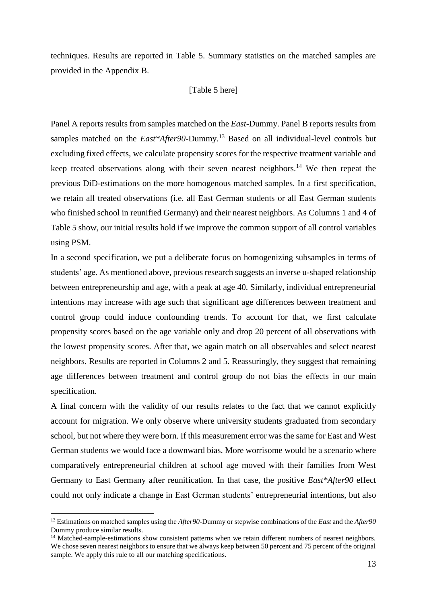techniques. Results are reported in Table 5. Summary statistics on the matched samples are provided in the Appendix B.

#### [Table 5 here]

Panel A reports results from samples matched on the *East*-Dummy. Panel B reports results from samples matched on the *East\*After90*-Dummy.<sup>13</sup> Based on all individual-level controls but excluding fixed effects, we calculate propensity scores for the respective treatment variable and keep treated observations along with their seven nearest neighbors.<sup>14</sup> We then repeat the previous DiD-estimations on the more homogenous matched samples. In a first specification, we retain all treated observations (i.e. all East German students or all East German students who finished school in reunified Germany) and their nearest neighbors. As Columns 1 and 4 of Table 5 show, our initial results hold if we improve the common support of all control variables using PSM.

In a second specification, we put a deliberate focus on homogenizing subsamples in terms of students' age. As mentioned above, previous research suggests an inverse u-shaped relationship between entrepreneurship and age, with a peak at age 40. Similarly, individual entrepreneurial intentions may increase with age such that significant age differences between treatment and control group could induce confounding trends. To account for that, we first calculate propensity scores based on the age variable only and drop 20 percent of all observations with the lowest propensity scores. After that, we again match on all observables and select nearest neighbors. Results are reported in Columns 2 and 5. Reassuringly, they suggest that remaining age differences between treatment and control group do not bias the effects in our main specification.

A final concern with the validity of our results relates to the fact that we cannot explicitly account for migration. We only observe where university students graduated from secondary school, but not where they were born. If this measurement error was the same for East and West German students we would face a downward bias. More worrisome would be a scenario where comparatively entrepreneurial children at school age moved with their families from West Germany to East Germany after reunification. In that case, the positive *East\*After90* effect could not only indicate a change in East German students' entrepreneurial intentions, but also

<u>.</u>

<sup>13</sup> Estimations on matched samples using the *After90*-Dummy or stepwise combinations of the *East* and the *After90* Dummy produce similar results.

<sup>&</sup>lt;sup>14</sup> Matched-sample-estimations show consistent patterns when we retain different numbers of nearest neighbors. We chose seven nearest neighbors to ensure that we always keep between 50 percent and 75 percent of the original sample. We apply this rule to all our matching specifications.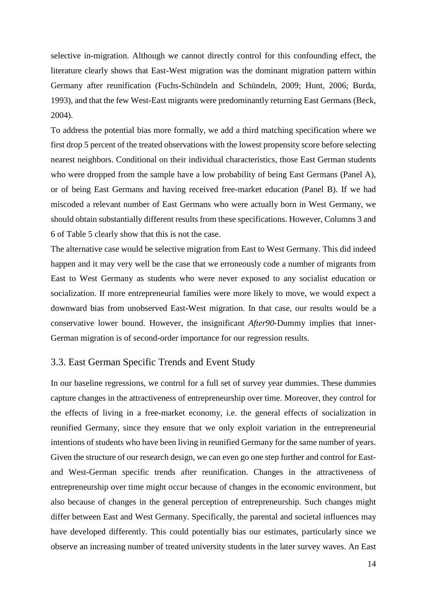selective in-migration. Although we cannot directly control for this confounding effect, the literature clearly shows that East-West migration was the dominant migration pattern within Germany after reunification (Fuchs-Schündeln and Schündeln, 2009; Hunt, 2006; Burda, 1993), and that the few West-East migrants were predominantly returning East Germans (Beck, 2004).

To address the potential bias more formally, we add a third matching specification where we first drop 5 percent of the treated observations with the lowest propensity score before selecting nearest neighbors. Conditional on their individual characteristics, those East German students who were dropped from the sample have a low probability of being East Germans (Panel A), or of being East Germans and having received free-market education (Panel B). If we had miscoded a relevant number of East Germans who were actually born in West Germany, we should obtain substantially different results from these specifications. However, Columns 3 and 6 of Table 5 clearly show that this is not the case.

The alternative case would be selective migration from East to West Germany. This did indeed happen and it may very well be the case that we erroneously code a number of migrants from East to West Germany as students who were never exposed to any socialist education or socialization. If more entrepreneurial families were more likely to move, we would expect a downward bias from unobserved East-West migration. In that case, our results would be a conservative lower bound. However, the insignificant *After90*-Dummy implies that inner-German migration is of second-order importance for our regression results.

# 3.3. East German Specific Trends and Event Study

In our baseline regressions, we control for a full set of survey year dummies. These dummies capture changes in the attractiveness of entrepreneurship over time. Moreover, they control for the effects of living in a free-market economy, i.e. the general effects of socialization in reunified Germany, since they ensure that we only exploit variation in the entrepreneurial intentions of students who have been living in reunified Germany for the same number of years. Given the structure of our research design, we can even go one step further and control for Eastand West-German specific trends after reunification. Changes in the attractiveness of entrepreneurship over time might occur because of changes in the economic environment, but also because of changes in the general perception of entrepreneurship. Such changes might differ between East and West Germany. Specifically, the parental and societal influences may have developed differently. This could potentially bias our estimates, particularly since we observe an increasing number of treated university students in the later survey waves. An East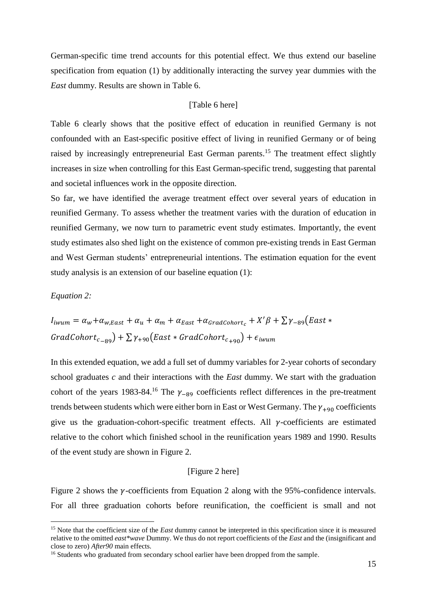German-specific time trend accounts for this potential effect. We thus extend our baseline specification from equation (1) by additionally interacting the survey year dummies with the *East* dummy. Results are shown in Table 6.

#### [Table 6 here]

Table 6 clearly shows that the positive effect of education in reunified Germany is not confounded with an East-specific positive effect of living in reunified Germany or of being raised by increasingly entrepreneurial East German parents.<sup>15</sup> The treatment effect slightly increases in size when controlling for this East German-specific trend, suggesting that parental and societal influences work in the opposite direction.

So far, we have identified the average treatment effect over several years of education in reunified Germany. To assess whether the treatment varies with the duration of education in reunified Germany, we now turn to parametric event study estimates. Importantly, the event study estimates also shed light on the existence of common pre-existing trends in East German and West German students' entrepreneurial intentions. The estimation equation for the event study analysis is an extension of our baseline equation (1):

#### *Equation 2:*

1

$$
I_{i wum} = \alpha_w + \alpha_{w, East} + \alpha_u + \alpha_m + \alpha_{East} + \alpha_{GradColor t_c} + X'\beta + \sum \gamma_{-89} (East * GradColor t_{c_{-89}}) + \sum \gamma_{+90} (East * GradColor t_{c_{+90}}) + \epsilon_{i wum}
$$

In this extended equation, we add a full set of dummy variables for 2-year cohorts of secondary school graduates *c* and their interactions with the *East* dummy. We start with the graduation cohort of the years 1983-84.<sup>16</sup> The  $\gamma$ <sub>-89</sub> coefficients reflect differences in the pre-treatment trends between students which were either born in East or West Germany. The  $\gamma_{+90}$  coefficients give us the graduation-cohort-specific treatment effects. All  $\gamma$ -coefficients are estimated relative to the cohort which finished school in the reunification years 1989 and 1990. Results of the event study are shown in Figure 2.

#### [Figure 2 here]

Figure 2 shows the  $\nu$ -coefficients from Equation 2 along with the 95%-confidence intervals. For all three graduation cohorts before reunification, the coefficient is small and not

<sup>&</sup>lt;sup>15</sup> Note that the coefficient size of the *East* dummy cannot be interpreted in this specification since it is measured relative to the omitted *east\*wave* Dummy. We thus do not report coefficients of the *East* and the (insignificant and close to zero) *After90* main effects.

<sup>&</sup>lt;sup>16</sup> Students who graduated from secondary school earlier have been dropped from the sample.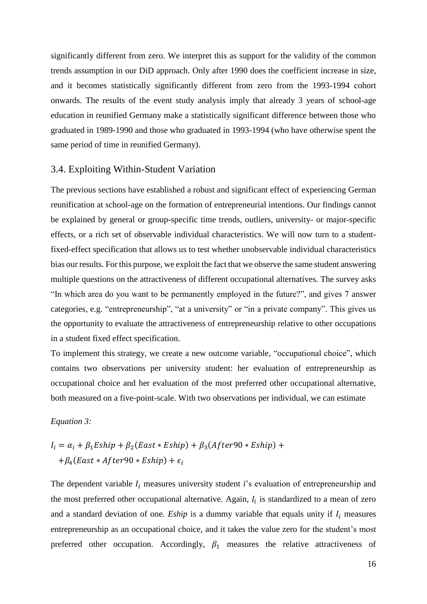significantly different from zero. We interpret this as support for the validity of the common trends assumption in our DiD approach. Only after 1990 does the coefficient increase in size, and it becomes statistically significantly different from zero from the 1993-1994 cohort onwards. The results of the event study analysis imply that already 3 years of school-age education in reunified Germany make a statistically significant difference between those who graduated in 1989-1990 and those who graduated in 1993-1994 (who have otherwise spent the same period of time in reunified Germany).

# 3.4. Exploiting Within-Student Variation

The previous sections have established a robust and significant effect of experiencing German reunification at school-age on the formation of entrepreneurial intentions. Our findings cannot be explained by general or group-specific time trends, outliers, university- or major-specific effects, or a rich set of observable individual characteristics. We will now turn to a studentfixed-effect specification that allows us to test whether unobservable individual characteristics bias our results. For this purpose, we exploit the fact that we observe the same student answering multiple questions on the attractiveness of different occupational alternatives. The survey asks "In which area do you want to be permanently employed in the future?", and gives 7 answer categories, e.g. "entrepreneurship", "at a university" or "in a private company". This gives us the opportunity to evaluate the attractiveness of entrepreneurship relative to other occupations in a student fixed effect specification.

To implement this strategy, we create a new outcome variable, "occupational choice", which contains two observations per university student: her evaluation of entrepreneurship as occupational choice and her evaluation of the most preferred other occupational alternative, both measured on a five-point-scale. With two observations per individual, we can estimate

#### *Equation 3:*

$$
I_i = \alpha_i + \beta_1 E \sin p + \beta_2 (East * E \sin p) + \beta_3 (After 90 * E \sin p) ++ \beta_4 (East * After 90 * E \sin p) + \epsilon_i
$$

The dependent variable  $I_i$  measures university student *i*'s evaluation of entrepreneurship and the most preferred other occupational alternative. Again,  $I_i$  is standardized to a mean of zero and a standard deviation of one. *Eship* is a dummy variable that equals unity if  $I_i$  measures entrepreneurship as an occupational choice, and it takes the value zero for the student's most preferred other occupation. Accordingly,  $\beta_1$  measures the relative attractiveness of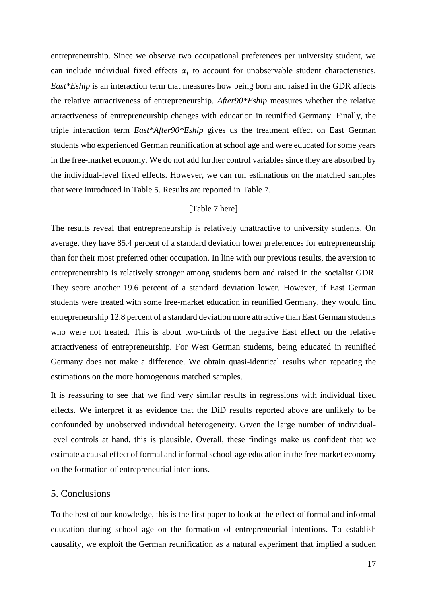entrepreneurship. Since we observe two occupational preferences per university student, we can include individual fixed effects  $\alpha_i$  to account for unobservable student characteristics. *East\*Eship* is an interaction term that measures how being born and raised in the GDR affects the relative attractiveness of entrepreneurship. *After90\*Eship* measures whether the relative attractiveness of entrepreneurship changes with education in reunified Germany. Finally, the triple interaction term *East\*After90\*Eship* gives us the treatment effect on East German students who experienced German reunification at school age and were educated for some years in the free-market economy. We do not add further control variables since they are absorbed by the individual-level fixed effects. However, we can run estimations on the matched samples that were introduced in Table 5. Results are reported in Table 7.

#### [Table 7 here]

The results reveal that entrepreneurship is relatively unattractive to university students. On average, they have 85.4 percent of a standard deviation lower preferences for entrepreneurship than for their most preferred other occupation. In line with our previous results, the aversion to entrepreneurship is relatively stronger among students born and raised in the socialist GDR. They score another 19.6 percent of a standard deviation lower. However, if East German students were treated with some free-market education in reunified Germany, they would find entrepreneurship 12.8 percent of a standard deviation more attractive than East German students who were not treated. This is about two-thirds of the negative East effect on the relative attractiveness of entrepreneurship. For West German students, being educated in reunified Germany does not make a difference. We obtain quasi-identical results when repeating the estimations on the more homogenous matched samples.

It is reassuring to see that we find very similar results in regressions with individual fixed effects. We interpret it as evidence that the DiD results reported above are unlikely to be confounded by unobserved individual heterogeneity. Given the large number of individuallevel controls at hand, this is plausible. Overall, these findings make us confident that we estimate a causal effect of formal and informal school-age education in the free market economy on the formation of entrepreneurial intentions.

#### 5. Conclusions

To the best of our knowledge, this is the first paper to look at the effect of formal and informal education during school age on the formation of entrepreneurial intentions. To establish causality, we exploit the German reunification as a natural experiment that implied a sudden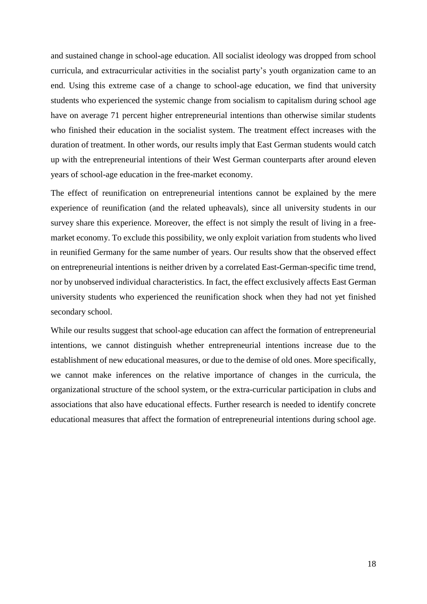and sustained change in school-age education. All socialist ideology was dropped from school curricula, and extracurricular activities in the socialist party's youth organization came to an end. Using this extreme case of a change to school-age education, we find that university students who experienced the systemic change from socialism to capitalism during school age have on average 71 percent higher entrepreneurial intentions than otherwise similar students who finished their education in the socialist system. The treatment effect increases with the duration of treatment. In other words, our results imply that East German students would catch up with the entrepreneurial intentions of their West German counterparts after around eleven years of school-age education in the free-market economy.

The effect of reunification on entrepreneurial intentions cannot be explained by the mere experience of reunification (and the related upheavals), since all university students in our survey share this experience. Moreover, the effect is not simply the result of living in a freemarket economy. To exclude this possibility, we only exploit variation from students who lived in reunified Germany for the same number of years. Our results show that the observed effect on entrepreneurial intentions is neither driven by a correlated East-German-specific time trend, nor by unobserved individual characteristics. In fact, the effect exclusively affects East German university students who experienced the reunification shock when they had not yet finished secondary school.

While our results suggest that school-age education can affect the formation of entrepreneurial intentions, we cannot distinguish whether entrepreneurial intentions increase due to the establishment of new educational measures, or due to the demise of old ones. More specifically, we cannot make inferences on the relative importance of changes in the curricula, the organizational structure of the school system, or the extra-curricular participation in clubs and associations that also have educational effects. Further research is needed to identify concrete educational measures that affect the formation of entrepreneurial intentions during school age.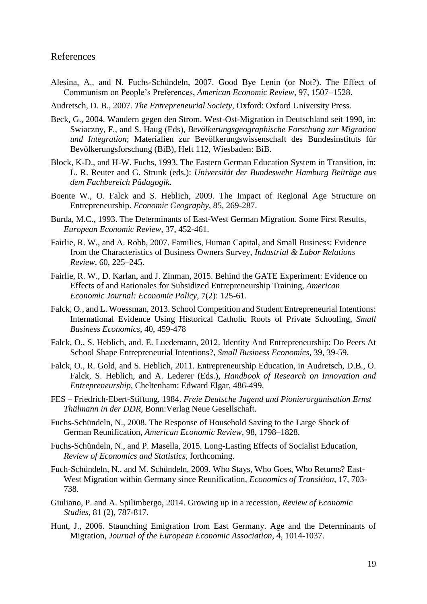## References

Alesina, A., and N. Fuchs-Schündeln, 2007. Good Bye Lenin (or Not?). The Effect of Communism on People's Preferences, *American Economic Review*, 97, 1507–1528.

Audretsch, D. B., 2007. *The Entrepreneurial Society*, Oxford: Oxford University Press.

- Beck, G., 2004. Wandern gegen den Strom. West-Ost-Migration in Deutschland seit 1990, in: Swiaczny, F., and S. Haug (Eds), *Bevölkerungsgeographische Forschung zur Migration und Integration*; Materialien zur Bevölkerungswissenschaft des Bundesinstituts für Bevölkerungsforschung (BiB), Heft 112, Wiesbaden: BiB.
- Block, K-D., and H-W. Fuchs, 1993. The Eastern German Education System in Transition, in: L. R. Reuter and G. Strunk (eds.): *Universität der Bundeswehr Hamburg Beiträge aus dem Fachbereich Pädagogik*.
- Boente W., O. Falck and S. Heblich, 2009. The Impact of Regional Age Structure on Entrepreneurship. *Economic Geography*, 85, 269-287.
- Burda, M.C., 1993. The Determinants of East-West German Migration. Some First Results, *European Economic Review,* 37, 452-461.
- Fairlie, R. W., and A. Robb, 2007. Families, Human Capital, and Small Business: Evidence from the Characteristics of Business Owners Survey, *Industrial & Labor Relations Review*, 60, 225–245.
- Fairlie, R. W., D. Karlan, and J. Zinman, 2015. Behind the GATE Experiment: Evidence on Effects of and Rationales for Subsidized Entrepreneurship Training, *American Economic Journal: Economic Policy*, 7(2): 125-61.
- Falck, O., and L. Woessman, 2013. School Competition and Student Entrepreneurial Intentions: International Evidence Using Historical Catholic Roots of Private Schooling, *Small Business Economics*, 40, 459-478
- Falck, O., S. Heblich, and. E. Luedemann, 2012. Identity And Entrepreneurship: Do Peers At School Shape Entrepreneurial Intentions?*, Small Business Economics,* 39, 39-59.
- Falck, O., R. Gold, and S. Heblich, 2011. Entrepreneurship Education, in Audretsch, D.B., O. Falck, S. Heblich, and A. Lederer (Eds.), *Handbook of Research on Innovation and Entrepreneurship,* Cheltenham: Edward Elgar, 486-499.
- FES Friedrich-Ebert-Stiftung, 1984. *Freie Deutsche Jugend und Pionierorganisation Ernst Thälmann in der DDR,* Bonn:Verlag Neue Gesellschaft.
- Fuchs-Schündeln, N., 2008. The Response of Household Saving to the Large Shock of German Reunification, *American Economic Review,* 98, 1798–1828.
- Fuchs-Schündeln, N., and P. Masella, 2015. Long-Lasting Effects of Socialist Education, *Review of Economics and Statistics*, forthcoming.
- Fuch-Schündeln, N., and M. Schündeln, 2009. Who Stays, Who Goes, Who Returns? East-West Migration within Germany since Reunification, *Economics of Transition*, 17, 703- 738.
- Giuliano, P. and A. Spilimbergo, 2014. Growing up in a recession, *Review of Economic Studies*, 81 (2), 787-817.
- Hunt, J., 2006. Staunching Emigration from East Germany. Age and the Determinants of Migration, *Journal of the European Economic Association*, 4, 1014-1037.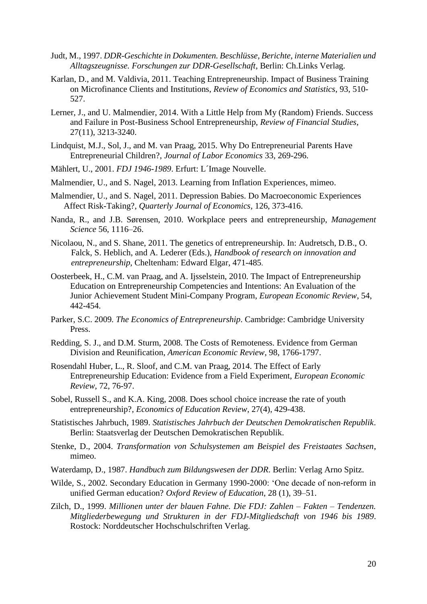- Judt, M., 1997. *DDR-Geschichte in Dokumenten. Beschlüsse, Berichte, interne Materialien und Alltagszeugnisse. Forschungen zur DDR-Gesellschaft*, Berlin: Ch.Links Verlag.
- Karlan, D., and M. Valdivia, 2011. Teaching Entrepreneurship. Impact of Business Training on Microfinance Clients and Institutions, *Review of Economics and Statistics*, 93, 510- 527.
- Lerner, J., and U. Malmendier, 2014. With a Little Help from My (Random) Friends. Success and Failure in Post-Business School Entrepreneurship, *Review of Financial Studies*, 27(11), 3213-3240.
- Lindquist, M.J., Sol, J., and M. van Praag, 2015. Why Do Entrepreneurial Parents Have Entrepreneurial Children?, *Journal of Labor Economics* 33, 269-296.
- Mählert, U., 2001. *FDJ 1946-1989*. Erfurt: L´Image Nouvelle.
- Malmendier, U., and S. Nagel, 2013. Learning from Inflation Experiences, mimeo.
- Malmendier, U., and S. Nagel, 2011. Depression Babies. Do Macroeconomic Experiences Affect Risk-Taking?, *Quarterly Journal of Economics,* 126, 373-416.
- Nanda, R., and J.B. Sørensen, 2010. Workplace peers and entrepreneurship, *Management Science* 56, 1116–26.
- Nicolaou, N., and S. Shane, 2011. The genetics of entrepreneurship. In: Audretsch, D.B., O. Falck, S. Heblich, and A. Lederer (Eds.), *Handbook of research on innovation and entrepreneurship*, Cheltenham: Edward Elgar, 471-485.
- Oosterbeek, H., C.M. van Praag, and A. Ijsselstein, 2010. The Impact of Entrepreneurship Education on Entrepreneurship Competencies and Intentions: An Evaluation of the Junior Achievement Student Mini-Company Program, *European Economic Review*, 54, 442-454.
- Parker, S.C. 2009*. The Economics of Entrepreneurship*. Cambridge: Cambridge University Press.
- Redding, S. J., and D.M. Sturm, 2008. The Costs of Remoteness. Evidence from German Division and Reunification, *American Economic Review*, 98, 1766-1797.
- Rosendahl Huber, L., R. Sloof, and C.M. van Praag, 2014. The Effect of Early Entrepreneurship Education: Evidence from a Field Experiment, *[European Economic](http://papers.ssrn.com/sol3/papers.cfm?abstract_id=2044735)  [Review](http://papers.ssrn.com/sol3/papers.cfm?abstract_id=2044735)*, 72, 76-97.
- Sobel, Russell S., and K.A. King, 2008. Does school choice increase the rate of youth entrepreneurship?, *Economics of Education Review*, 27(4), 429-438.
- Statistisches Jahrbuch, 1989. *Statistisches Jahrbuch der Deutschen Demokratischen Republik*. Berlin: Staatsverlag der Deutschen Demokratischen Republik.
- Stenke, D., 2004. *Transformation von Schulsystemen am Beispiel des Freistaates Sachsen*, mimeo.
- Waterdamp, D., 1987. *Handbuch zum Bildungswesen der DDR*. Berlin: Verlag Arno Spitz.
- Wilde, S., 2002. Secondary Education in Germany 1990-2000: 'One decade of non-reform in unified German education? *Oxford Review of Education*, 28 (1), 39–51.
- Zilch, D., 1999. *Millionen unter der blauen Fahne. Die FDJ: Zahlen – Fakten – Tendenzen. Mitgliederbewegung und Strukturen in der FDJ-Mitgliedschaft von 1946 bis 1989*. Rostock: Norddeutscher Hochschulschriften Verlag.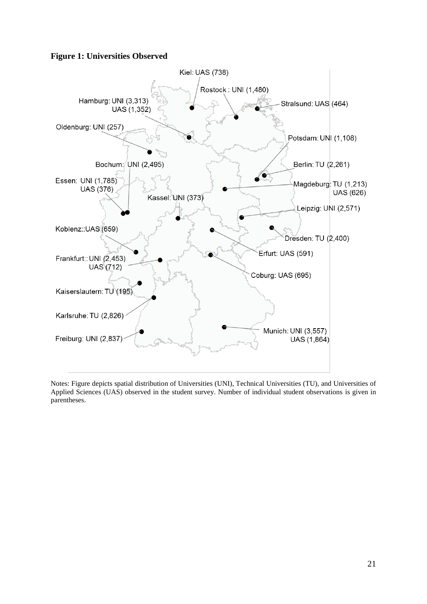# **Figure 1: Universities Observed**



Notes: Figure depicts spatial distribution of Universities (UNI), Technical Universities (TU), and Universities of Applied Sciences (UAS) observed in the student survey. Number of individual student observations is given in parentheses.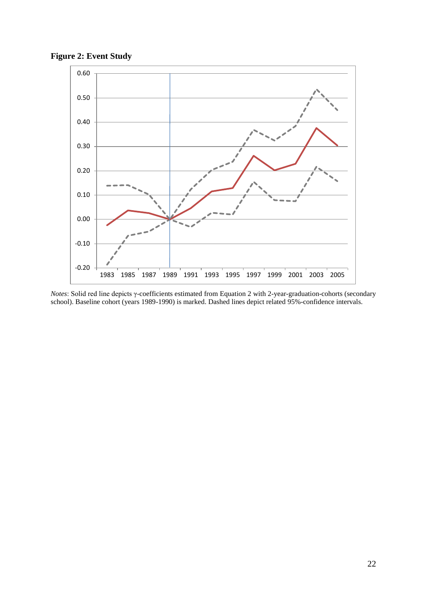**Figure 2: Event Study**



*Notes*: Solid red line depicts γ-coefficients estimated from Equation 2 with 2-year-graduation-cohorts (secondary school). Baseline cohort (years 1989-1990) is marked. Dashed lines depict related 95%-confidence intervals.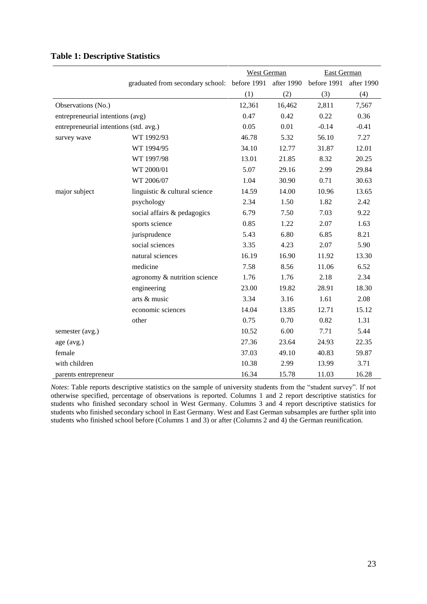|                                        |                                                         | <b>West German</b> |        | <b>East German</b> |            |
|----------------------------------------|---------------------------------------------------------|--------------------|--------|--------------------|------------|
|                                        | graduated from secondary school: before 1991 after 1990 |                    |        | before 1991        | after 1990 |
|                                        |                                                         | (1)                | (2)    | (3)                | (4)        |
| Observations (No.)                     |                                                         | 12,361             | 16,462 | 2,811              | 7,567      |
| entrepreneurial intentions (avg)       |                                                         | 0.47               | 0.42   | 0.22               | 0.36       |
| entrepreneurial intentions (std. avg.) |                                                         | 0.05               | 0.01   | $-0.14$            | $-0.41$    |
| survey wave                            | WT 1992/93                                              | 46.78              | 5.32   | 56.10              | 7.27       |
|                                        | WT 1994/95                                              | 34.10              | 12.77  | 31.87              | 12.01      |
|                                        | WT 1997/98                                              | 13.01              | 21.85  | 8.32               | 20.25      |
|                                        | WT 2000/01                                              | 5.07               | 29.16  | 2.99               | 29.84      |
|                                        | WT 2006/07                                              | 1.04               | 30.90  | 0.71               | 30.63      |
| major subject                          | linguistic & cultural science                           | 14.59              | 14.00  | 10.96              | 13.65      |
|                                        | psychology                                              | 2.34               | 1.50   | 1.82               | 2.42       |
|                                        | social affairs & pedagogics                             | 6.79               | 7.50   | 7.03               | 9.22       |
|                                        | sports science                                          | 0.85               | 1.22   | 2.07               | 1.63       |
|                                        | jurisprudence                                           | 5.43               | 6.80   | 6.85               | 8.21       |
|                                        | social sciences                                         | 3.35               | 4.23   | 2.07               | 5.90       |
|                                        | natural sciences                                        | 16.19              | 16.90  | 11.92              | 13.30      |
|                                        | medicine                                                | 7.58               | 8.56   | 11.06              | 6.52       |
|                                        | agronomy & nutrition science                            | 1.76               | 1.76   | 2.18               | 2.34       |
|                                        | engineering                                             | 23.00              | 19.82  | 28.91              | 18.30      |
|                                        | arts & music                                            | 3.34               | 3.16   | 1.61               | 2.08       |
|                                        | economic sciences                                       | 14.04              | 13.85  | 12.71              | 15.12      |
|                                        | other                                                   | 0.75               | 0.70   | 0.82               | 1.31       |
| semester (avg.)                        |                                                         | 10.52              | 6.00   | 7.71               | 5.44       |
| age (avg.)                             |                                                         | 27.36              | 23.64  | 24.93              | 22.35      |
| female                                 |                                                         | 37.03              | 49.10  | 40.83              | 59.87      |
| with children                          |                                                         | 10.38              | 2.99   | 13.99              | 3.71       |
| parents entrepreneur                   |                                                         | 16.34              | 15.78  | 11.03              | 16.28      |

## **Table 1: Descriptive Statistics**

*Notes*: Table reports descriptive statistics on the sample of university students from the "student survey". If not otherwise specified, percentage of observations is reported. Columns 1 and 2 report descriptive statistics for students who finished secondary school in West Germany. Columns 3 and 4 report descriptive statistics for students who finished secondary school in East Germany. West and East German subsamples are further split into students who finished school before (Columns 1 and 3) or after (Columns 2 and 4) the German reunification.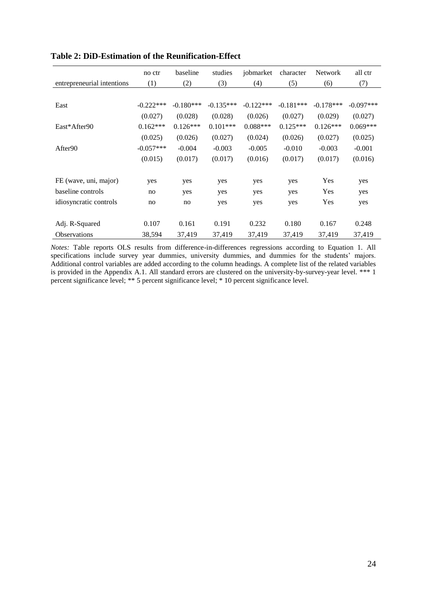|                            | no ctr      | baseline    | studies     | jobmarket   | character   | <b>Network</b> | all ctr     |
|----------------------------|-------------|-------------|-------------|-------------|-------------|----------------|-------------|
| entrepreneurial intentions | (1)         | (2)         | (3)         | (4)         | (5)         | (6)            | (7)         |
|                            |             |             |             |             |             |                |             |
| East                       | $-0.222***$ | $-0.180***$ | $-0.135***$ | $-0.122***$ | $-0.181***$ | $-0.178***$    | $-0.097***$ |
|                            | (0.027)     | (0.028)     | (0.028)     | (0.026)     | (0.027)     | (0.029)        | (0.027)     |
| East*After90               | $0.162***$  | $0.126***$  | $0.101***$  | $0.088***$  | $0.125***$  | $0.126***$     | $0.069***$  |
|                            | (0.025)     | (0.026)     | (0.027)     | (0.024)     | (0.026)     | (0.027)        | (0.025)     |
| After90                    | $-0.057***$ | $-0.004$    | $-0.003$    | $-0.005$    | $-0.010$    | $-0.003$       | $-0.001$    |
|                            | (0.015)     | (0.017)     | (0.017)     | (0.016)     | (0.017)     | (0.017)        | (0.016)     |
|                            |             |             |             |             |             |                |             |
| FE (wave, uni, major)      | yes         | yes         | yes         | yes         | yes         | Yes            | yes         |
| baseline controls          | no          | yes         | yes         | yes         | yes         | Yes            | yes         |
| idiosyncratic controls     | no          | no          | yes         | yes         | yes         | Yes            | yes         |
|                            |             |             |             |             |             |                |             |
| Adj. R-Squared             | 0.107       | 0.161       | 0.191       | 0.232       | 0.180       | 0.167          | 0.248       |
| <b>Observations</b>        | 38,594      | 37,419      | 37,419      | 37,419      | 37,419      | 37,419         | 37,419      |

| <b>Table 2: DiD-Estimation of the Reunification-Effect</b> |  |  |  |
|------------------------------------------------------------|--|--|--|
|------------------------------------------------------------|--|--|--|

*Notes:* Table reports OLS results from difference-in-differences regressions according to Equation 1. All specifications include survey year dummies, university dummies, and dummies for the students' majors. Additional control variables are added according to the column headings. A complete list of the related variables is provided in the Appendix A.1. All standard errors are clustered on the university-by-survey-year level. \*\*\* 1 percent significance level; \*\* 5 percent significance level; \* 10 percent significance level.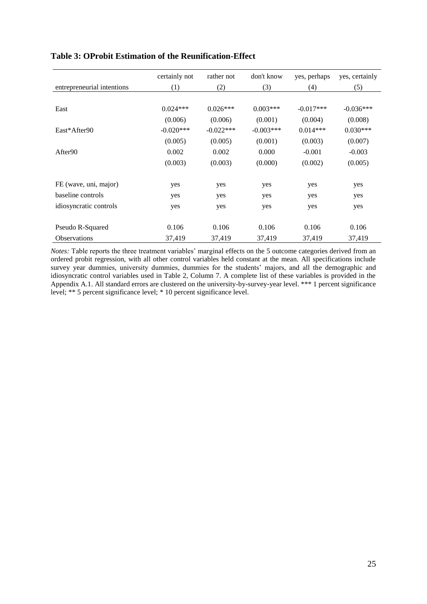|                            | certainly not | rather not  | don't know  | yes, perhaps | yes, certainly |
|----------------------------|---------------|-------------|-------------|--------------|----------------|
| entrepreneurial intentions | (1)           | (2)         | (3)         | (4)          | (5)            |
|                            |               |             |             |              |                |
| East                       | $0.024***$    | $0.026***$  | $0.003***$  | $-0.017***$  | $-0.036***$    |
|                            | (0.006)       | (0.006)     | (0.001)     | (0.004)      | (0.008)        |
| East*After90               | $-0.020***$   | $-0.022***$ | $-0.003***$ | $0.014***$   | $0.030***$     |
|                            | (0.005)       | (0.005)     | (0.001)     | (0.003)      | (0.007)        |
| After90                    | 0.002         | 0.002       | 0.000       | $-0.001$     | $-0.003$       |
|                            | (0.003)       | (0.003)     | (0.000)     | (0.002)      | (0.005)        |
|                            |               |             |             |              |                |
| FE (wave, uni, major)      | yes           | yes         | yes         | yes          | yes            |
| baseline controls          | yes           | yes         | yes         | yes          | yes            |
| idiosyncratic controls     | yes           | yes         | yes         | yes          | yes            |
|                            |               |             |             |              |                |
| Pseudo R-Squared           | 0.106         | 0.106       | 0.106       | 0.106        | 0.106          |
| <b>Observations</b>        | 37,419        | 37,419      | 37,419      | 37,419       | 37,419         |

# **Table 3: OProbit Estimation of the Reunification-Effect**

*Notes:* Table reports the three treatment variables' marginal effects on the 5 outcome categories derived from an ordered probit regression, with all other control variables held constant at the mean. All specifications include survey year dummies, university dummies, dummies for the students' majors, and all the demographic and idiosyncratic control variables used in Table 2, Column 7. A complete list of these variables is provided in the Appendix A.1. All standard errors are clustered on the university-by-survey-year level. \*\*\* 1 percent significance level; \*\* 5 percent significance level; \* 10 percent significance level.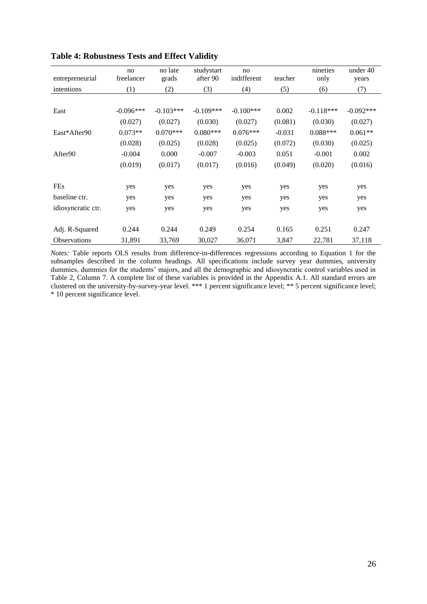| entrepreneurial     | no<br>freelancer | no late<br>grads | studystart<br>after 90 | no<br>indifferent | teacher  | nineties<br>only | under 40<br>years |
|---------------------|------------------|------------------|------------------------|-------------------|----------|------------------|-------------------|
| intentions          | (1)              | (2)              | (3)                    | (4)               | (5)      | (6)              | (7)               |
|                     |                  |                  |                        |                   |          |                  |                   |
| East                | $-0.096***$      | $-0.103***$      | $-0.109***$            | $-0.100***$       | 0.002    | $-0.118***$      | $-0.092***$       |
|                     | (0.027)          | (0.027)          | (0.030)                | (0.027)           | (0.081)  | (0.030)          | (0.027)           |
| East*After90        | $0.073**$        | $0.070***$       | $0.080***$             | $0.076***$        | $-0.031$ | $0.088***$       | $0.061**$         |
|                     | (0.028)          | (0.025)          | (0.028)                | (0.025)           | (0.072)  | (0.030)          | (0.025)           |
| After90             | $-0.004$         | 0.000            | $-0.007$               | $-0.003$          | 0.051    | $-0.001$         | 0.002             |
|                     | (0.019)          | (0.017)          | (0.017)                | (0.016)           | (0.049)  | (0.020)          | (0.016)           |
|                     |                  |                  |                        |                   |          |                  |                   |
| <b>FEs</b>          | yes              | yes              | yes                    | yes               | yes      | yes              | yes               |
| baseline ctr.       | yes              | yes              | yes                    | yes               | yes      | yes              | yes               |
| idiosyncratic ctr.  | yes              | yes              | yes                    | yes               | yes      | yes              | yes               |
|                     |                  |                  |                        |                   |          |                  |                   |
| Adj. R-Squared      | 0.244            | 0.244            | 0.249                  | 0.254             | 0.165    | 0.251            | 0.247             |
| <b>Observations</b> | 31,891           | 33,769           | 30,027                 | 36,071            | 3,847    | 22,781           | 37,118            |

# **Table 4: Robustness Tests and Effect Validity**

*Notes:* Table reports OLS results from difference-in-differences regressions according to Equation 1 for the subsamples described in the column headings. All specifications include survey year dummies, university dummies, dummies for the students' majors, and all the demographic and idiosyncratic control variables used in Table 2, Column 7. A complete list of these variables is provided in the Appendix A.1. All standard errors are clustered on the university-by-survey-year level. \*\*\* 1 percent significance level; \*\* 5 percent significance level; \* 10 percent significance level.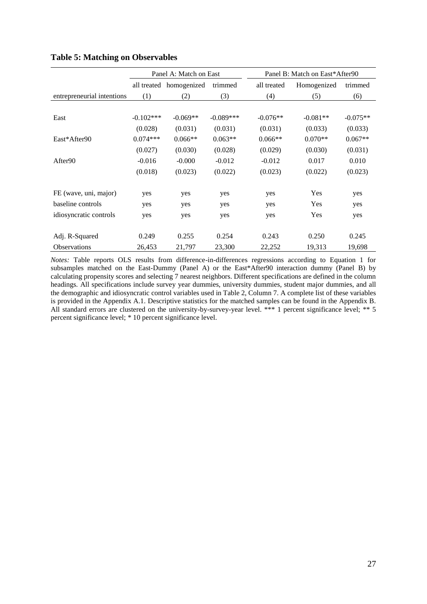|                            |              | Panel A: Match on East  |             | Panel B: Match on East*After90 |             |            |  |
|----------------------------|--------------|-------------------------|-------------|--------------------------------|-------------|------------|--|
|                            |              | all treated homogenized | trimmed     | all treated                    | Homogenized | trimmed    |  |
| entrepreneurial intentions | (1)          | (2)                     | (3)         | (4)                            | (5)         | (6)        |  |
|                            |              |                         |             |                                |             |            |  |
| East                       | $-0.102$ *** | $-0.069**$              | $-0.089***$ | $-0.076**$                     | $-0.081**$  | $-0.075**$ |  |
|                            | (0.028)      | (0.031)                 | (0.031)     | (0.031)                        | (0.033)     | (0.033)    |  |
| East*After90               | $0.074***$   | $0.066**$               | $0.063**$   | $0.066**$                      | $0.070**$   | $0.067**$  |  |
|                            | (0.027)      | (0.030)                 | (0.028)     | (0.029)                        | (0.030)     | (0.031)    |  |
| After90                    | $-0.016$     | $-0.000$                | $-0.012$    | $-0.012$                       | 0.017       | 0.010      |  |
|                            | (0.018)      | (0.023)                 | (0.022)     | (0.023)                        | (0.022)     | (0.023)    |  |
|                            |              |                         |             |                                |             |            |  |
| FE (wave, uni, major)      | yes          | yes                     | yes         | yes                            | Yes         | yes        |  |
| baseline controls          | yes          | yes                     | yes         | yes                            | Yes         | yes        |  |
| idiosyncratic controls     | yes          | yes                     | yes         | yes                            | Yes         | yes        |  |
|                            |              |                         |             |                                |             |            |  |
| Adj. R-Squared             | 0.249        | 0.255                   | 0.254       | 0.243                          | 0.250       | 0.245      |  |
| <b>Observations</b>        | 26,453       | 21,797                  | 23,300      | 22,252                         | 19,313      | 19,698     |  |

#### **Table 5: Matching on Observables**

*Notes:* Table reports OLS results from difference-in-differences regressions according to Equation 1 for subsamples matched on the East-Dummy (Panel A) or the East\*After90 interaction dummy (Panel B) by calculating propensity scores and selecting 7 nearest neighbors. Different specifications are defined in the column headings. All specifications include survey year dummies, university dummies, student major dummies, and all the demographic and idiosyncratic control variables used in Table 2, Column 7. A complete list of these variables is provided in the Appendix A.1. Descriptive statistics for the matched samples can be found in the Appendix B. All standard errors are clustered on the university-by-survey-year level. \*\*\* 1 percent significance level; \*\* 5 percent significance level; \* 10 percent significance level.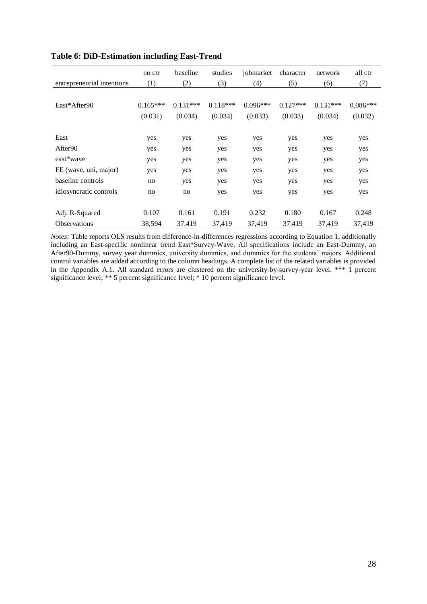|                            | no ctr     | baseline   | studies    | jobmarket  | character  | network    | all ctr    |
|----------------------------|------------|------------|------------|------------|------------|------------|------------|
| entrepreneurial intentions | (1)        | (2)        | (3)        | (4)        | (5)        | (6)        | (7)        |
|                            |            |            |            |            |            |            |            |
| East*After90               | $0.165***$ | $0.131***$ | $0.118***$ | $0.096***$ | $0.127***$ | $0.131***$ | $0.086***$ |
|                            | (0.031)    | (0.034)    | (0.034)    | (0.033)    | (0.033)    | (0.034)    | (0.032)    |
|                            |            |            |            |            |            |            |            |
| East                       | yes        | yes        | yes        | yes        | yes        | yes        | yes        |
| After90                    | yes        | yes        | yes        | yes        | yes        | yes        | yes        |
| east*wave                  | yes        | yes        | yes        | yes        | yes        | yes        | yes        |
| FE (wave, uni, major)      | yes        | yes        | yes        | yes        | yes        | yes        | yes        |
| baseline controls          | no         | yes        | yes        | yes        | yes        | yes        | yes        |
| idiosyncratic controls     | no         | no         | yes        | yes        | yes        | yes        | yes        |
|                            |            |            |            |            |            |            |            |
| Adj. R-Squared             | 0.107      | 0.161      | 0.191      | 0.232      | 0.180      | 0.167      | 0.248      |
| <b>Observations</b>        | 38,594     | 37,419     | 37,419     | 37,419     | 37,419     | 37,419     | 37,419     |

#### **Table 6: DiD-Estimation including East-Trend**

*Notes:* Table reports OLS results from difference-in-differences regressions according to Equation 1, additionally including an East-specific nonlinear trend East\*Survey-Wave. All specifications include an East-Dummy, an After90-Dummy, survey year dummies, university dummies, and dummies for the students' majors. Additional control variables are added according to the column headings. A complete list of the related variables is provided in the Appendix A.1. All standard errors are clustered on the university-by-survey-year level. \*\*\* 1 percent significance level; \*\* 5 percent significance level; \* 10 percent significance level.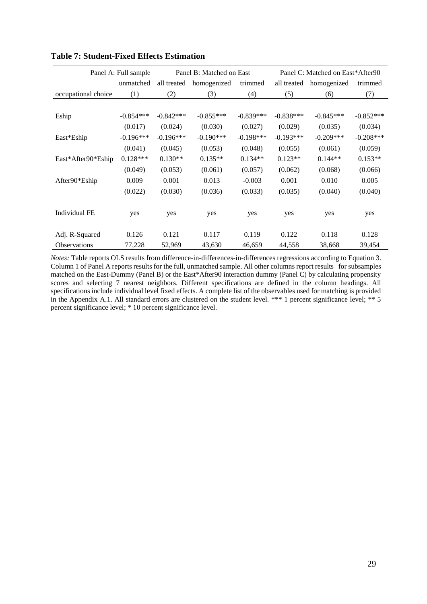|                      | Panel A: Full sample |             | Panel B: Matched on East |             | Panel C: Matched on East*After90 |             |             |
|----------------------|----------------------|-------------|--------------------------|-------------|----------------------------------|-------------|-------------|
|                      | unmatched            | all treated | homogenized              | trimmed     | all treated                      | homogenized | trimmed     |
| occupational choice  | (1)                  | (2)         | (3)                      | (4)         | (5)                              | (6)         | (7)         |
|                      |                      |             |                          |             |                                  |             |             |
| Eship                | $-0.854***$          | $-0.842***$ | $-0.855***$              | $-0.839***$ | $-0.838***$                      | $-0.845***$ | $-0.852***$ |
|                      | (0.017)              | (0.024)     | (0.030)                  | (0.027)     | (0.029)                          | (0.035)     | (0.034)     |
| East*Eship           | $-0.196***$          | $-0.196***$ | $-0.190***$              | $-0.198***$ | $-0.193***$                      | $-0.209***$ | $-0.208***$ |
|                      | (0.041)              | (0.045)     | (0.053)                  | (0.048)     | (0.055)                          | (0.061)     | (0.059)     |
| East*After90*Eship   | $0.128***$           | $0.130**$   | $0.135**$                | $0.134**$   | $0.123**$                        | $0.144**$   | $0.153**$   |
|                      | (0.049)              | (0.053)     | (0.061)                  | (0.057)     | (0.062)                          | (0.068)     | (0.066)     |
| After90*Eship        | 0.009                | 0.001       | 0.013                    | $-0.003$    | 0.001                            | 0.010       | 0.005       |
|                      | (0.022)              | (0.030)     | (0.036)                  | (0.033)     | (0.035)                          | (0.040)     | (0.040)     |
|                      |                      |             |                          |             |                                  |             |             |
| <b>Individual FE</b> | yes                  | yes         | yes                      | yes         | yes                              | yes         | yes         |
|                      |                      |             |                          |             |                                  |             |             |
| Adj. R-Squared       | 0.126                | 0.121       | 0.117                    | 0.119       | 0.122                            | 0.118       | 0.128       |
| <b>Observations</b>  | 77,228               | 52,969      | 43,630                   | 46,659      | 44,558                           | 38,668      | 39,454      |

# **Table 7: Student-Fixed Effects Estimation**

*Notes:* Table reports OLS results from difference-in-differences-in-differences regressions according to Equation 3. Column 1 of Panel A reports results for the full, unmatched sample. All other columns report results for subsamples matched on the East-Dummy (Panel B) or the East\*After90 interaction dummy (Panel C) by calculating propensity scores and selecting 7 nearest neighbors. Different specifications are defined in the column headings. All specifications include individual level fixed effects. A complete list of the observables used for matching is provided in the Appendix A.1. All standard errors are clustered on the student level. \*\*\* 1 percent significance level; \*\* 5 percent significance level; \* 10 percent significance level.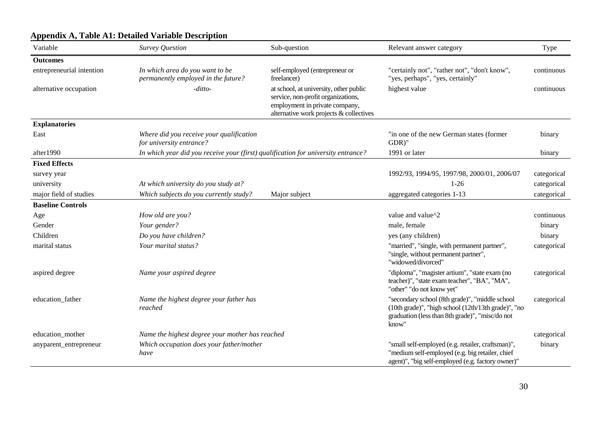| Variable                  | Survey Question                                                                   | Sub-question                                                                                                                                              | Relevant answer category                                                                                                                                          | Type        |
|---------------------------|-----------------------------------------------------------------------------------|-----------------------------------------------------------------------------------------------------------------------------------------------------------|-------------------------------------------------------------------------------------------------------------------------------------------------------------------|-------------|
| <b>Outcomes</b>           |                                                                                   |                                                                                                                                                           |                                                                                                                                                                   |             |
| entrepreneurial intention | In which area do you want to be<br>permanently employed in the future?            | self-employed (entrepreneur or<br>freelancer)                                                                                                             | "certainly not", "rather not", "don't know",<br>"yes, perhaps", "yes, certainly"                                                                                  | continuous  |
| alternative occupation    | $-ditto-$                                                                         | at school, at university, other public<br>service, non-profit organizations,<br>employment in private company,<br>alternative work projects & collectives | highest value                                                                                                                                                     | continuous  |
| <b>Explanatories</b>      |                                                                                   |                                                                                                                                                           |                                                                                                                                                                   |             |
| East                      | Where did you receive your qualification<br>for university entrance?              |                                                                                                                                                           | "in one of the new German states (former<br>GDR)"                                                                                                                 | binary      |
| after1990                 | In which year did you receive your (first) qualification for university entrance? |                                                                                                                                                           | 1991 or later                                                                                                                                                     | binary      |
| <b>Fixed Effects</b>      |                                                                                   |                                                                                                                                                           |                                                                                                                                                                   |             |
| survey year               |                                                                                   |                                                                                                                                                           | 1992/93, 1994/95, 1997/98, 2000/01, 2006/07                                                                                                                       | categorical |
| university                | At which university do you study at?                                              |                                                                                                                                                           | $1-26$                                                                                                                                                            | categorical |
| major field of studies    | Which subjects do you currently study?                                            | Major subject                                                                                                                                             | aggregated categories 1-13                                                                                                                                        | categorical |
| <b>Baseline Controls</b>  |                                                                                   |                                                                                                                                                           |                                                                                                                                                                   |             |
| Age                       | How old are you?                                                                  |                                                                                                                                                           | value and value^2                                                                                                                                                 | continuous  |
| Gender                    | Your gender?                                                                      |                                                                                                                                                           | male, female                                                                                                                                                      | binary      |
| Children                  | Do you have children?                                                             |                                                                                                                                                           | yes (any children)                                                                                                                                                | binary      |
| marital status            | Your marital status?                                                              |                                                                                                                                                           | "married", "single, with permanent partner",<br>"single, without permanent partner",<br>"widowed/divorced"                                                        | categorical |
| aspired degree            | Name your aspired degree                                                          |                                                                                                                                                           | "diploma", "magister artium", "state exam (no<br>teacher)", "state exam teacher", "BA", "MA",<br>"other" "do not know yet"                                        | categorical |
| education_father          | Name the highest degree your father has<br>reached                                |                                                                                                                                                           | "secondary school (8th grade)", "middle school<br>(10th grade)", "high school (12th/13th grade)", "no<br>graduation (less than 8th grade)", "misc/do not<br>know" | categorical |
| education mother          | Name the highest degree your mother has reached                                   |                                                                                                                                                           |                                                                                                                                                                   | categorical |
| anyparent_entrepreneur    | Which occupation does your father/mother<br>have                                  |                                                                                                                                                           | "small self-employed (e.g. retailer, craftsman)",<br>"medium self-employed (e.g. big retailer, chief<br>agent)", "big self-employed (e.g. factory owner)"         | binary      |

# **Appendix A, Table A1: Detailed Variable Description**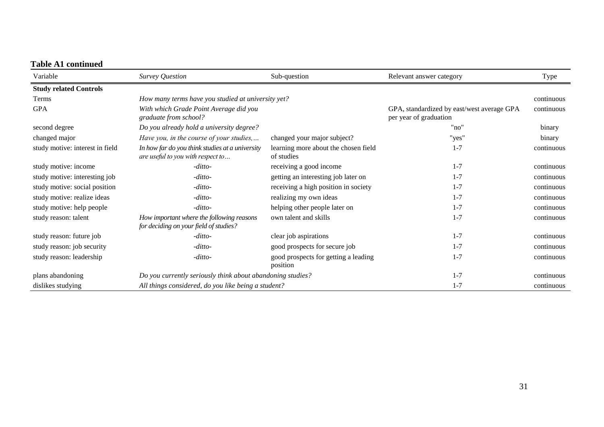# **Table A1 continued**

| Variable                        | Survey Question                                                                      | Sub-question                                       | Relevant answer category                                             | Type       |
|---------------------------------|--------------------------------------------------------------------------------------|----------------------------------------------------|----------------------------------------------------------------------|------------|
| <b>Study related Controls</b>   |                                                                                      |                                                    |                                                                      |            |
| Terms                           | How many terms have you studied at university yet?                                   |                                                    |                                                                      | continuous |
| <b>GPA</b>                      | With which Grade Point Average did you<br>graduate from school?                      |                                                    | GPA, standardized by east/west average GPA<br>per year of graduation | continuous |
| second degree                   | Do you already hold a university degree?                                             |                                                    | "no"                                                                 | binary     |
| changed major                   | Have you, in the course of your studies,                                             | changed your major subject?                        | "yes"                                                                | binary     |
| study motive: interest in field | In how far do you think studies at a university<br>are useful to you with respect to | learning more about the chosen field<br>of studies | $1 - 7$                                                              | continuous |
| study motive: income            | -ditto-                                                                              | receiving a good income                            | $1 - 7$                                                              | continuous |
| study motive: interesting job   | $-ditto-$                                                                            | getting an interesting job later on                | $1 - 7$                                                              | continuous |
| study motive: social position   | -ditto-                                                                              | receiving a high position in society               | $1 - 7$                                                              | continuous |
| study motive: realize ideas     | -ditto-                                                                              | realizing my own ideas                             | $1 - 7$                                                              | continuous |
| study motive: help people       | -ditto-                                                                              | helping other people later on                      | $1 - 7$                                                              | continuous |
| study reason: talent            | How important where the following reasons<br>for deciding on your field of studies?  | own talent and skills                              | $1 - 7$                                                              | continuous |
| study reason: future job        | $-ditto-$                                                                            | clear job aspirations                              | $1 - 7$                                                              | continuous |
| study reason: job security      | -ditto-                                                                              | good prospects for secure job                      | $1 - 7$                                                              | continuous |
| study reason: leadership        | -ditto-                                                                              | good prospects for getting a leading<br>position   | $1 - 7$                                                              | continuous |
| plans abandoning                | Do you currently seriously think about abandoning studies?                           |                                                    | $1 - 7$                                                              | continuous |
| dislikes studying               | All things considered, do you like being a student?                                  |                                                    | $1 - 7$                                                              | continuous |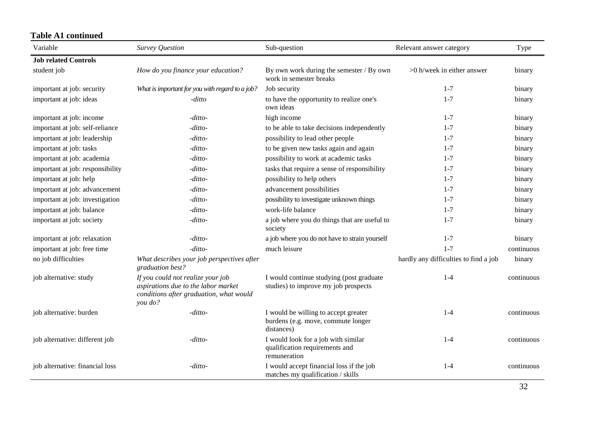# **Table A1 continued**

| Variable                         | Survey Question                                                                                                                | Sub-question                                                                             | Relevant answer category              | Type       |
|----------------------------------|--------------------------------------------------------------------------------------------------------------------------------|------------------------------------------------------------------------------------------|---------------------------------------|------------|
| <b>Job related Controls</b>      |                                                                                                                                |                                                                                          |                                       |            |
| student job                      | How do you finance your education?                                                                                             | By own work during the semester / By own<br>work in semester breaks                      | >0 h/week in either answer            | binary     |
| important at job: security       | What is important for you with regard to a job?                                                                                | Job security                                                                             | $1 - 7$                               | binary     |
| important at job: ideas          | -ditto                                                                                                                         | to have the opportunity to realize one's<br>own ideas                                    | $1 - 7$                               | binary     |
| important at job: income         | -ditto-                                                                                                                        | high income                                                                              | $1 - 7$                               | binary     |
| important at job: self-reliance  | -ditto-                                                                                                                        | to be able to take decisions independently                                               | $1 - 7$                               | binary     |
| important at job: leadership     | -ditto-                                                                                                                        | possibility to lead other people                                                         | $1 - 7$                               | binary     |
| important at job: tasks          | -ditto-                                                                                                                        | to be given new tasks again and again                                                    | $1 - 7$                               | binary     |
| important at job: academia       | -ditto-                                                                                                                        | possibility to work at academic tasks                                                    | $1 - 7$                               | binary     |
| important at job: responsibility | -ditto-                                                                                                                        | tasks that require a sense of responsibility                                             | $1 - 7$                               | binary     |
| important at job: help           | -ditto-                                                                                                                        | possibility to help others                                                               | $1 - 7$                               | binary     |
| important at job: advancement    | -ditto-                                                                                                                        | advancement possibilities                                                                | $1 - 7$                               | binary     |
| important at job: investigation  | -ditto-                                                                                                                        | possibility to investigate unknown things                                                | $1 - 7$                               | binary     |
| important at job: balance        | -ditto-                                                                                                                        | work-life balance                                                                        | $1 - 7$                               | binary     |
| important at job: society        | -ditto-                                                                                                                        | a job where you do things that are useful to<br>society                                  | $1 - 7$                               | binary     |
| important at job: relaxation     | -ditto-                                                                                                                        | a job where you do not have to strain yourself                                           | $1 - 7$                               | binary     |
| important at job: free time      | -ditto-                                                                                                                        | much leisure                                                                             | $1 - 7$                               | continuous |
| no job difficulties              | What describes your job perspectives after<br>graduation best?                                                                 |                                                                                          | hardly any difficulties to find a job | binary     |
| job alternative: study           | If you could not realize your job<br>aspirations due to the labor market<br>conditions after graduation, what would<br>you do? | I would continue studying (post graduate<br>studies) to improve my job prospects         | $1-4$                                 | continuous |
| job alternative: burden          | -ditto-                                                                                                                        | I would be willing to accept greater<br>burdens (e.g. move, commute longer<br>distances) | $1 - 4$                               | continuous |
| job alternative: different job   | -ditto-                                                                                                                        | I would look for a job with similar<br>qualification requirements and<br>remuneration    | $1 - 4$                               | continuous |
| job alternative: financial loss  | -ditto-                                                                                                                        | I would accept financial loss if the job<br>matches my qualification / skills            | $1 - 4$                               | continuous |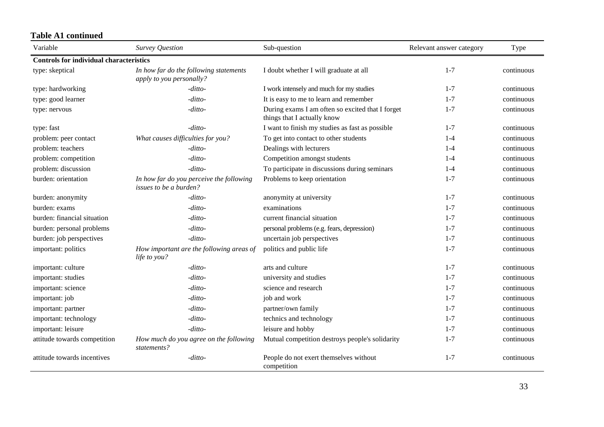# **Table A1 continued**

| Variable                                       | <b>Survey Question</b>                                                    | Sub-question                                                                    | Relevant answer category | Type       |
|------------------------------------------------|---------------------------------------------------------------------------|---------------------------------------------------------------------------------|--------------------------|------------|
| <b>Controls for individual characteristics</b> |                                                                           |                                                                                 |                          |            |
| type: skeptical                                | In how far do the following statements<br>apply to you personally?        | I doubt whether I will graduate at all                                          | $1 - 7$                  | continuous |
| type: hardworking                              | -ditto-                                                                   | I work intensely and much for my studies                                        | $1 - 7$                  | continuous |
| type: good learner                             | -ditto-                                                                   | It is easy to me to learn and remember                                          | $1 - 7$                  | continuous |
| type: nervous                                  | -ditto-                                                                   | During exams I am often so excited that I forget<br>things that I actually know | $1 - 7$                  | continuous |
| type: fast                                     | -ditto-                                                                   | I want to finish my studies as fast as possible                                 | $1 - 7$                  | continuous |
| problem: peer contact                          | What causes difficulties for you?                                         | To get into contact to other students                                           | $1-4$                    | continuous |
| problem: teachers                              | -ditto-                                                                   | Dealings with lecturers                                                         | $1-4$                    | continuous |
| problem: competition                           | -ditto-                                                                   | Competition amongst students                                                    | $1 - 4$                  | continuous |
| problem: discussion                            | -ditto-                                                                   | To participate in discussions during seminars                                   | $1 - 4$                  | continuous |
| burden: orientation                            | In how far do you perceive the following<br><i>issues to be a burden?</i> | Problems to keep orientation                                                    | $1 - 7$                  | continuous |
| burden: anonymity                              | $-ditto-$                                                                 | anonymity at university                                                         | $1 - 7$                  | continuous |
| burden: exams                                  | $-ditto-$                                                                 | examinations                                                                    | $1 - 7$                  | continuous |
| burden: financial situation                    | -ditto-                                                                   | current financial situation                                                     | $1 - 7$                  | continuous |
| burden: personal problems                      | -ditto-                                                                   | personal problems (e.g. fears, depression)                                      | $1 - 7$                  | continuous |
| burden: job perspectives                       | -ditto-                                                                   | uncertain job perspectives                                                      | $1 - 7$                  | continuous |
| important: politics                            | How important are the following areas of<br>life to you?                  | politics and public life                                                        | $1 - 7$                  | continuous |
| important: culture                             | -ditto-                                                                   | arts and culture                                                                | $1 - 7$                  | continuous |
| important: studies                             | -ditto-                                                                   | university and studies                                                          | $1 - 7$                  | continuous |
| important: science                             | -ditto-                                                                   | science and research                                                            | $1 - 7$                  | continuous |
| important: job                                 | -ditto-                                                                   | job and work                                                                    | $1 - 7$                  | continuous |
| important: partner                             | -ditto-                                                                   | partner/own family                                                              | $1 - 7$                  | continuous |
| important: technology                          | -ditto-                                                                   | technics and technology                                                         | $1 - 7$                  | continuous |
| important: leisure                             | -ditto-                                                                   | leisure and hobby                                                               | $1 - 7$                  | continuous |
| attitude towards competition                   | How much do you agree on the following<br>statements?                     | Mutual competition destroys people's solidarity                                 | $1 - 7$                  | continuous |
| attitude towards incentives                    | -ditto-                                                                   | People do not exert themselves without<br>competition                           | $1 - 7$                  | continuous |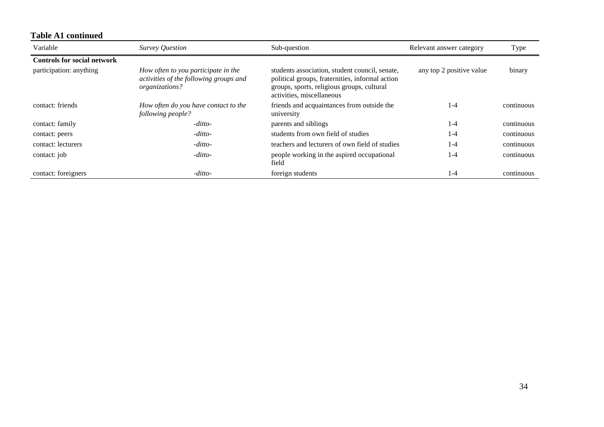| Variable                           | Survey Question                                                                                 | Sub-question                                                                                                                                                                 | Relevant answer category | Type       |
|------------------------------------|-------------------------------------------------------------------------------------------------|------------------------------------------------------------------------------------------------------------------------------------------------------------------------------|--------------------------|------------|
| <b>Controls for social network</b> |                                                                                                 |                                                                                                                                                                              |                          |            |
| participation: anything            | How often to you participate in the<br>activities of the following groups and<br>organizations? | students association, student council, senate,<br>political groups, fraternities, informal action<br>groups, sports, religious groups, cultural<br>activities, miscellaneous | any top 2 positive value | binary     |
| contact: friends                   | How often do you have contact to the<br>following people?                                       | friends and acquaintances from outside the<br>university                                                                                                                     | .-4                      | continuous |
| contact: family                    | $-ditto-$                                                                                       | parents and siblings                                                                                                                                                         | 1-4                      | continuous |
| contact: peers                     | $-ditto-$                                                                                       | students from own field of studies                                                                                                                                           | 1-4                      | continuous |
| contact: lecturers                 | $-ditto-$                                                                                       | teachers and lecturers of own field of studies                                                                                                                               | $-4$                     | continuous |
| contact: job                       | $-ditto-$                                                                                       | people working in the aspired occupational<br>field                                                                                                                          | l -4                     | continuous |
| contact: foreigners                | $-ditto-$                                                                                       | foreign students                                                                                                                                                             | l -4                     | continuous |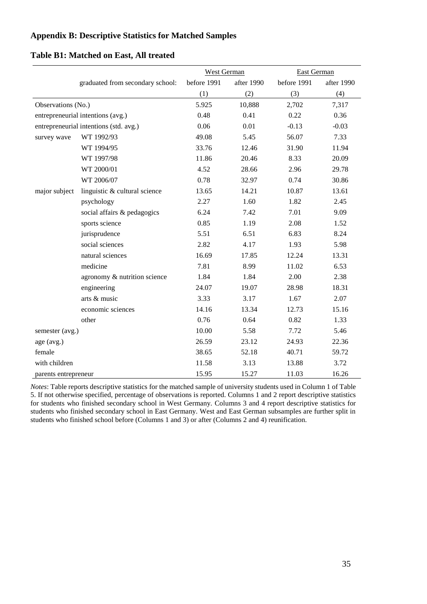# **Appendix B: Descriptive Statistics for Matched Samples**

#### **Table B1: Matched on East, All treated**

|                                        |                                   | <b>West German</b> |            | <b>East German</b> |            |
|----------------------------------------|-----------------------------------|--------------------|------------|--------------------|------------|
|                                        | graduated from secondary school:  | before 1991        | after 1990 | before 1991        | after 1990 |
|                                        |                                   | (1)                | (2)        | (3)                | (4)        |
| Observations (No.)                     |                                   | 5.925              | 10,888     | 2,702              | 7,317      |
|                                        | entrepreneurial intentions (avg.) | 0.48               | 0.41       | 0.22               | 0.36       |
| entrepreneurial intentions (std. avg.) |                                   | 0.06               | 0.01       | $-0.13$            | $-0.03$    |
| survey wave                            | WT 1992/93                        | 49.08              | 5.45       | 56.07              | 7.33       |
|                                        | WT 1994/95                        | 33.76              | 12.46      | 31.90              | 11.94      |
|                                        | WT 1997/98                        | 11.86              | 20.46      | 8.33               | 20.09      |
|                                        | WT 2000/01                        | 4.52               | 28.66      | 2.96               | 29.78      |
|                                        | WT 2006/07                        | 0.78               | 32.97      | 0.74               | 30.86      |
| major subject                          | linguistic & cultural science     | 13.65              | 14.21      | 10.87              | 13.61      |
|                                        | psychology                        | 2.27               | 1.60       | 1.82               | 2.45       |
|                                        | social affairs & pedagogics       | 6.24               | 7.42       | 7.01               | 9.09       |
|                                        | sports science                    | 0.85               | 1.19       | 2.08               | 1.52       |
|                                        | jurisprudence                     | 5.51               | 6.51       | 6.83               | 8.24       |
|                                        | social sciences                   | 2.82               | 4.17       | 1.93               | 5.98       |
|                                        | natural sciences                  | 16.69              | 17.85      | 12.24              | 13.31      |
|                                        | medicine                          | 7.81               | 8.99       | 11.02              | 6.53       |
|                                        | agronomy & nutrition science      | 1.84               | 1.84       | 2.00               | 2.38       |
|                                        | engineering                       | 24.07              | 19.07      | 28.98              | 18.31      |
|                                        | arts & music                      | 3.33               | 3.17       | 1.67               | 2.07       |
|                                        | economic sciences                 | 14.16              | 13.34      | 12.73              | 15.16      |
|                                        | other                             | 0.76               | 0.64       | 0.82               | 1.33       |
| semester (avg.)                        |                                   | 10.00              | 5.58       | 7.72               | 5.46       |
| age (avg.)                             |                                   | 26.59              | 23.12      | 24.93              | 22.36      |
| female                                 |                                   | 38.65              | 52.18      | 40.71              | 59.72      |
| with children                          |                                   | 11.58              | 3.13       | 13.88              | 3.72       |
| parents entrepreneur                   |                                   | 15.95              | 15.27      | 11.03              | 16.26      |

*Notes*: Table reports descriptive statistics for the matched sample of university students used in Column 1 of Table 5. If not otherwise specified, percentage of observations is reported. Columns 1 and 2 report descriptive statistics for students who finished secondary school in West Germany. Columns 3 and 4 report descriptive statistics for students who finished secondary school in East Germany. West and East German subsamples are further split in students who finished school before (Columns 1 and 3) or after (Columns 2 and 4) reunification.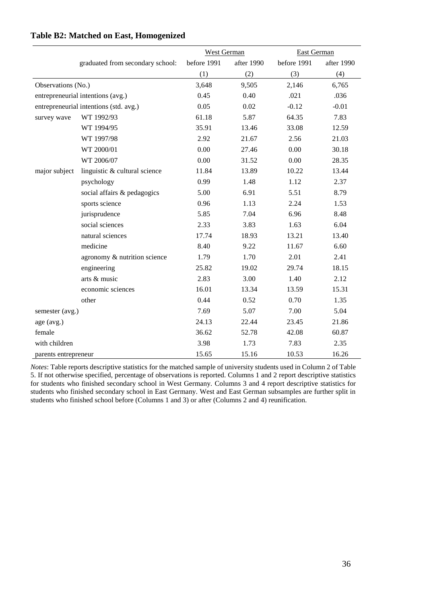|                                        |                                   | West German |            | East German |            |
|----------------------------------------|-----------------------------------|-------------|------------|-------------|------------|
|                                        | graduated from secondary school:  | before 1991 | after 1990 | before 1991 | after 1990 |
|                                        |                                   | (1)         | (2)        | (3)         | (4)        |
| Observations (No.)                     |                                   | 3,648       | 9,505      | 2,146       | 6,765      |
|                                        | entrepreneurial intentions (avg.) | 0.45        | 0.40       | .021        | .036       |
| entrepreneurial intentions (std. avg.) |                                   | 0.05        | 0.02       | $-0.12$     | $-0.01$    |
| survey wave                            | WT 1992/93                        | 61.18       | 5.87       | 64.35       | 7.83       |
|                                        | WT 1994/95                        | 35.91       | 13.46      | 33.08       | 12.59      |
|                                        | WT 1997/98                        | 2.92        | 21.67      | 2.56        | 21.03      |
|                                        | WT 2000/01                        | 0.00        | 27.46      | 0.00        | 30.18      |
|                                        | WT 2006/07                        | 0.00        | 31.52      | 0.00        | 28.35      |
| major subject                          | linguistic & cultural science     | 11.84       | 13.89      | 10.22       | 13.44      |
|                                        | psychology                        | 0.99        | 1.48       | 1.12        | 2.37       |
|                                        | social affairs & pedagogics       | 5.00        | 6.91       | 5.51        | 8.79       |
|                                        | sports science                    | 0.96        | 1.13       | 2.24        | 1.53       |
|                                        | jurisprudence                     | 5.85        | 7.04       | 6.96        | 8.48       |
|                                        | social sciences                   | 2.33        | 3.83       | 1.63        | 6.04       |
|                                        | natural sciences                  | 17.74       | 18.93      | 13.21       | 13.40      |
|                                        | medicine                          | 8.40        | 9.22       | 11.67       | 6.60       |
|                                        | agronomy & nutrition science      | 1.79        | 1.70       | 2.01        | 2.41       |
|                                        | engineering                       | 25.82       | 19.02      | 29.74       | 18.15      |
|                                        | arts & music                      | 2.83        | 3.00       | 1.40        | 2.12       |
|                                        | economic sciences                 | 16.01       | 13.34      | 13.59       | 15.31      |
|                                        | other                             | 0.44        | 0.52       | 0.70        | 1.35       |
| semester (avg.)                        |                                   | 7.69        | 5.07       | 7.00        | 5.04       |
| age (avg.)                             |                                   | 24.13       | 22.44      | 23.45       | 21.86      |
| female                                 |                                   | 36.62       | 52.78      | 42.08       | 60.87      |
| with children                          |                                   | 3.98        | 1.73       | 7.83        | 2.35       |
| parents entrepreneur                   |                                   | 15.65       | 15.16      | 10.53       | 16.26      |

## **Table B2: Matched on East, Homogenized**

*Notes*: Table reports descriptive statistics for the matched sample of university students used in Column 2 of Table 5. If not otherwise specified, percentage of observations is reported. Columns 1 and 2 report descriptive statistics for students who finished secondary school in West Germany. Columns 3 and 4 report descriptive statistics for students who finished secondary school in East Germany. West and East German subsamples are further split in students who finished school before (Columns 1 and 3) or after (Columns 2 and 4) reunification.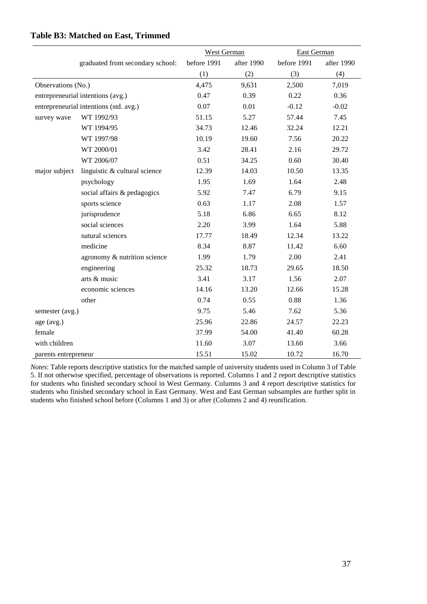|                                        |                                  | West German |            | East German |            |
|----------------------------------------|----------------------------------|-------------|------------|-------------|------------|
|                                        | graduated from secondary school: | before 1991 | after 1990 | before 1991 | after 1990 |
|                                        |                                  | (1)         | (2)        | (3)         | (4)        |
| Observations (No.)                     |                                  | 4,475       | 9,631      | 2,500       | 7,019      |
| entrepreneurial intentions (avg.)      |                                  | 0.47        | 0.39       | 0.22        | 0.36       |
| entrepreneurial intentions (std. avg.) |                                  | 0.07        | 0.01       | $-0.12$     | $-0.02$    |
| survey wave                            | WT 1992/93                       | 51.15       | 5.27       | 57.44       | 7.45       |
|                                        | WT 1994/95                       | 34.73       | 12.46      | 32.24       | 12.21      |
|                                        | WT 1997/98                       | 10.19       | 19.60      | 7.56        | 20.22      |
|                                        | WT 2000/01                       | 3.42        | 28.41      | 2.16        | 29.72      |
|                                        | WT 2006/07                       | 0.51        | 34.25      | 0.60        | 30.40      |
| major subject                          | linguistic & cultural science    | 12.39       | 14.03      | 10.50       | 13.35      |
|                                        | psychology                       | 1.95        | 1.69       | 1.64        | 2.48       |
|                                        | social affairs & pedagogics      | 5.92        | 7.47       | 6.79        | 9.15       |
|                                        | sports science                   | 0.63        | 1.17       | 2.08        | 1.57       |
|                                        | jurisprudence                    | 5.18        | 6.86       | 6.65        | 8.12       |
|                                        | social sciences                  | 2.20        | 3.99       | 1.64        | 5.88       |
|                                        | natural sciences                 | 17.77       | 18.49      | 12.34       | 13.22      |
|                                        | medicine                         | 8.34        | 8.87       | 11.42       | 6.60       |
|                                        | agronomy & nutrition science     | 1.99        | 1.79       | 2.00        | 2.41       |
|                                        | engineering                      | 25.32       | 18.73      | 29.65       | 18.50      |
|                                        | arts & music                     | 3.41        | 3.17       | 1.56        | 2.07       |
|                                        | economic sciences                | 14.16       | 13.20      | 12.66       | 15.28      |
|                                        | other                            | 0.74        | 0.55       | 0.88        | 1.36       |
| semester (avg.)                        |                                  | 9.75        | 5.46       | 7.62        | 5.36       |
| age (avg.)                             |                                  | 25.96       | 22.86      | 24.57       | 22.23      |
| female                                 |                                  | 37.99       | 54.00      | 41.40       | 60.28      |
| with children                          |                                  | 11.60       | 3.07       | 13.60       | 3.66       |
| parents entrepreneur                   |                                  | 15.51       | 15.02      | 10.72       | 16.70      |

#### **Table B3: Matched on East, Trimmed**

*Notes*: Table reports descriptive statistics for the matched sample of university students used in Column 3 of Table 5. If not otherwise specified, percentage of observations is reported. Columns 1 and 2 report descriptive statistics for students who finished secondary school in West Germany. Columns 3 and 4 report descriptive statistics for students who finished secondary school in East Germany. West and East German subsamples are further split in students who finished school before (Columns 1 and 3) or after (Columns 2 and 4) reunification.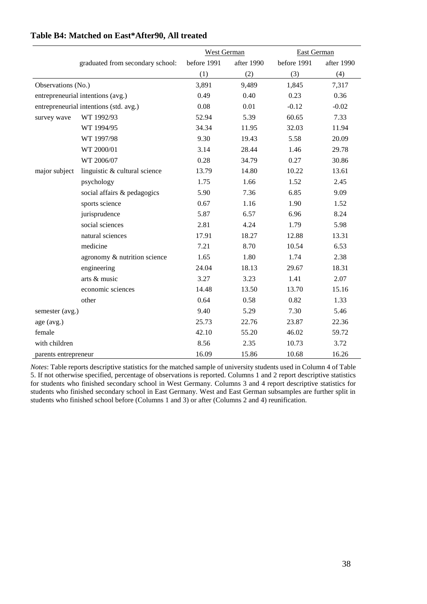|                                        |                                  | West German |            | East German |            |
|----------------------------------------|----------------------------------|-------------|------------|-------------|------------|
|                                        | graduated from secondary school: | before 1991 | after 1990 | before 1991 | after 1990 |
|                                        |                                  | (1)         | (2)        | (3)         | (4)        |
| Observations (No.)                     |                                  | 3,891       | 9,489      | 1,845       | 7,317      |
| entrepreneurial intentions (avg.)      |                                  | 0.49        | 0.40       | 0.23        | 0.36       |
| entrepreneurial intentions (std. avg.) |                                  | 0.08        | 0.01       | $-0.12$     | $-0.02$    |
| survey wave                            | WT 1992/93                       | 52.94       | 5.39       | 60.65       | 7.33       |
|                                        | WT 1994/95                       | 34.34       | 11.95      | 32.03       | 11.94      |
|                                        | WT 1997/98                       | 9.30        | 19.43      | 5.58        | 20.09      |
|                                        | WT 2000/01                       | 3.14        | 28.44      | 1.46        | 29.78      |
|                                        | WT 2006/07                       | 0.28        | 34.79      | 0.27        | 30.86      |
| major subject                          | linguistic & cultural science    | 13.79       | 14.80      | 10.22       | 13.61      |
|                                        | psychology                       | 1.75        | 1.66       | 1.52        | 2.45       |
|                                        | social affairs & pedagogics      | 5.90        | 7.36       | 6.85        | 9.09       |
|                                        | sports science                   | 0.67        | 1.16       | 1.90        | 1.52       |
|                                        | jurisprudence                    | 5.87        | 6.57       | 6.96        | 8.24       |
|                                        | social sciences                  | 2.81        | 4.24       | 1.79        | 5.98       |
|                                        | natural sciences                 | 17.91       | 18.27      | 12.88       | 13.31      |
|                                        | medicine                         | 7.21        | 8.70       | 10.54       | 6.53       |
|                                        | agronomy & nutrition science     | 1.65        | 1.80       | 1.74        | 2.38       |
|                                        | engineering                      | 24.04       | 18.13      | 29.67       | 18.31      |
|                                        | arts & music                     | 3.27        | 3.23       | 1.41        | 2.07       |
|                                        | economic sciences                | 14.48       | 13.50      | 13.70       | 15.16      |
|                                        | other                            | 0.64        | 0.58       | 0.82        | 1.33       |
| semester (avg.)                        |                                  | 9.40        | 5.29       | 7.30        | 5.46       |
| age (avg.)                             |                                  | 25.73       | 22.76      | 23.87       | 22.36      |
| female                                 |                                  | 42.10       | 55.20      | 46.02       | 59.72      |
| with children                          |                                  | 8.56        | 2.35       | 10.73       | 3.72       |
| parents entrepreneur                   |                                  | 16.09       | 15.86      | 10.68       | 16.26      |

# **Table B4: Matched on East\*After90, All treated**

*Notes*: Table reports descriptive statistics for the matched sample of university students used in Column 4 of Table 5. If not otherwise specified, percentage of observations is reported. Columns 1 and 2 report descriptive statistics for students who finished secondary school in West Germany. Columns 3 and 4 report descriptive statistics for students who finished secondary school in East Germany. West and East German subsamples are further split in students who finished school before (Columns 1 and 3) or after (Columns 2 and 4) reunification.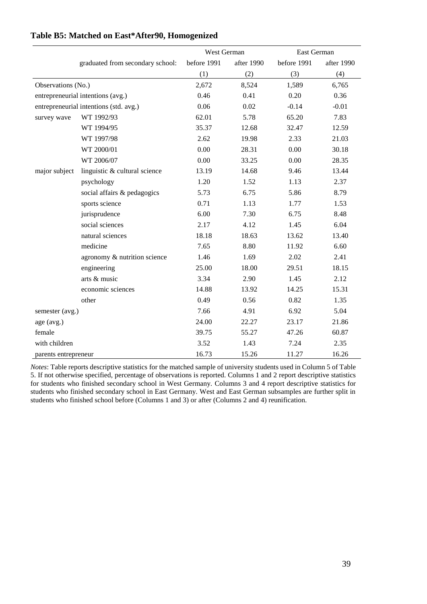|                                        |                                  | West German |            | East German |            |
|----------------------------------------|----------------------------------|-------------|------------|-------------|------------|
|                                        | graduated from secondary school: | before 1991 | after 1990 | before 1991 | after 1990 |
|                                        |                                  | (1)         | (2)        | (3)         | (4)        |
| Observations (No.)                     |                                  | 2,672       | 8,524      | 1,589       | 6,765      |
| entrepreneurial intentions (avg.)      |                                  | 0.46        | 0.41       | 0.20        | 0.36       |
| entrepreneurial intentions (std. avg.) |                                  | 0.06        | 0.02       | $-0.14$     | $-0.01$    |
| survey wave                            | WT 1992/93                       | 62.01       | 5.78       | 65.20       | 7.83       |
|                                        | WT 1994/95                       | 35.37       | 12.68      | 32.47       | 12.59      |
|                                        | WT 1997/98                       | 2.62        | 19.98      | 2.33        | 21.03      |
|                                        | WT 2000/01                       | 0.00        | 28.31      | 0.00        | 30.18      |
|                                        | WT 2006/07                       | 0.00        | 33.25      | 0.00        | 28.35      |
| major subject                          | linguistic & cultural science    | 13.19       | 14.68      | 9.46        | 13.44      |
|                                        | psychology                       | 1.20        | 1.52       | 1.13        | 2.37       |
|                                        | social affairs & pedagogics      | 5.73        | 6.75       | 5.86        | 8.79       |
|                                        | sports science                   | 0.71        | 1.13       | 1.77        | 1.53       |
|                                        | jurisprudence                    | 6.00        | 7.30       | 6.75        | 8.48       |
|                                        | social sciences                  | 2.17        | 4.12       | 1.45        | 6.04       |
|                                        | natural sciences                 | 18.18       | 18.63      | 13.62       | 13.40      |
|                                        | medicine                         | 7.65        | 8.80       | 11.92       | 6.60       |
|                                        | agronomy & nutrition science     | 1.46        | 1.69       | 2.02        | 2.41       |
|                                        | engineering                      | 25.00       | 18.00      | 29.51       | 18.15      |
|                                        | arts & music                     | 3.34        | 2.90       | 1.45        | 2.12       |
|                                        | economic sciences                | 14.88       | 13.92      | 14.25       | 15.31      |
|                                        | other                            | 0.49        | 0.56       | 0.82        | 1.35       |
| semester (avg.)                        |                                  | 7.66        | 4.91       | 6.92        | 5.04       |
| age (avg.)                             |                                  | 24.00       | 22.27      | 23.17       | 21.86      |
| female                                 |                                  | 39.75       | 55.27      | 47.26       | 60.87      |
| with children                          |                                  | 3.52        | 1.43       | 7.24        | 2.35       |
| parents entrepreneur                   |                                  | 16.73       | 15.26      | 11.27       | 16.26      |

# **Table B5: Matched on East\*After90, Homogenized**

*Notes*: Table reports descriptive statistics for the matched sample of university students used in Column 5 of Table 5. If not otherwise specified, percentage of observations is reported. Columns 1 and 2 report descriptive statistics for students who finished secondary school in West Germany. Columns 3 and 4 report descriptive statistics for students who finished secondary school in East Germany. West and East German subsamples are further split in students who finished school before (Columns 1 and 3) or after (Columns 2 and 4) reunification.